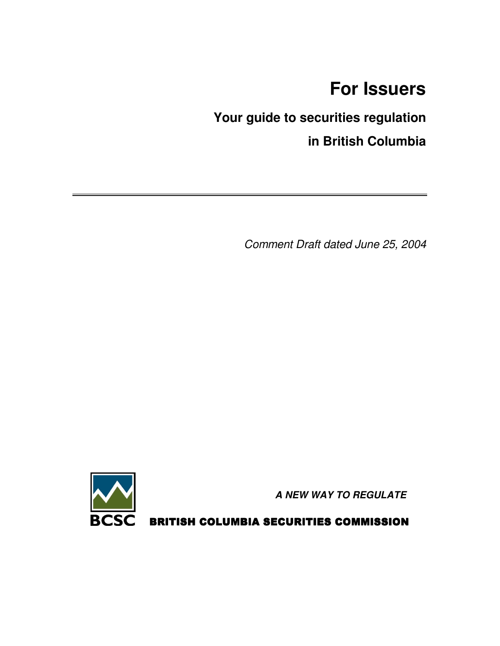# **For Issuers**

# **Your guide to securities regulation in British Columbia**

*Comment Draft dated June 25, 2004*



*A NEW WAY TO REGULATE*

BRITISH COLUMBIA SECURITIES COMMISSION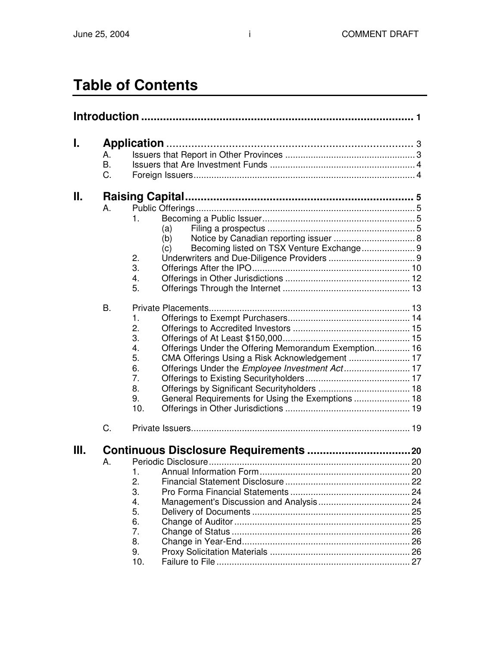# **Table of Contents**

| I. |           |                                                            |  |  |  |  |  |  |
|----|-----------|------------------------------------------------------------|--|--|--|--|--|--|
|    | Α.        |                                                            |  |  |  |  |  |  |
|    | <b>B.</b> |                                                            |  |  |  |  |  |  |
|    | C.        |                                                            |  |  |  |  |  |  |
| н. |           |                                                            |  |  |  |  |  |  |
|    | Α.        |                                                            |  |  |  |  |  |  |
|    |           | 1.                                                         |  |  |  |  |  |  |
|    |           | (a)                                                        |  |  |  |  |  |  |
|    |           | (b)                                                        |  |  |  |  |  |  |
|    |           | Becoming listed on TSX Venture Exchange 9<br>(c)           |  |  |  |  |  |  |
|    |           | 2.                                                         |  |  |  |  |  |  |
|    |           | 3.                                                         |  |  |  |  |  |  |
|    |           | 4.                                                         |  |  |  |  |  |  |
|    |           | 5.                                                         |  |  |  |  |  |  |
|    | В.        |                                                            |  |  |  |  |  |  |
|    |           | 1.                                                         |  |  |  |  |  |  |
|    |           | 2.                                                         |  |  |  |  |  |  |
|    |           | 3.                                                         |  |  |  |  |  |  |
|    |           | Offerings Under the Offering Memorandum Exemption 16<br>4. |  |  |  |  |  |  |
|    |           | 5.<br>CMA Offerings Using a Risk Acknowledgement  17       |  |  |  |  |  |  |
|    |           | Offerings Under the Employee Investment Act 17<br>6.       |  |  |  |  |  |  |
|    |           | 7.                                                         |  |  |  |  |  |  |
|    |           | 8.                                                         |  |  |  |  |  |  |
|    |           | General Requirements for Using the Exemptions  18<br>9.    |  |  |  |  |  |  |
|    |           | 10.                                                        |  |  |  |  |  |  |
|    | C.        |                                                            |  |  |  |  |  |  |
| Ш. |           |                                                            |  |  |  |  |  |  |
|    |           |                                                            |  |  |  |  |  |  |
|    | А.        |                                                            |  |  |  |  |  |  |
|    |           | 2.                                                         |  |  |  |  |  |  |
|    |           | 3.                                                         |  |  |  |  |  |  |
|    |           |                                                            |  |  |  |  |  |  |
|    |           | 4.<br>5.                                                   |  |  |  |  |  |  |
|    |           | 6.                                                         |  |  |  |  |  |  |
|    |           | 7.                                                         |  |  |  |  |  |  |
|    |           | 8.                                                         |  |  |  |  |  |  |
|    |           | 9.                                                         |  |  |  |  |  |  |
|    |           | 10.                                                        |  |  |  |  |  |  |
|    |           |                                                            |  |  |  |  |  |  |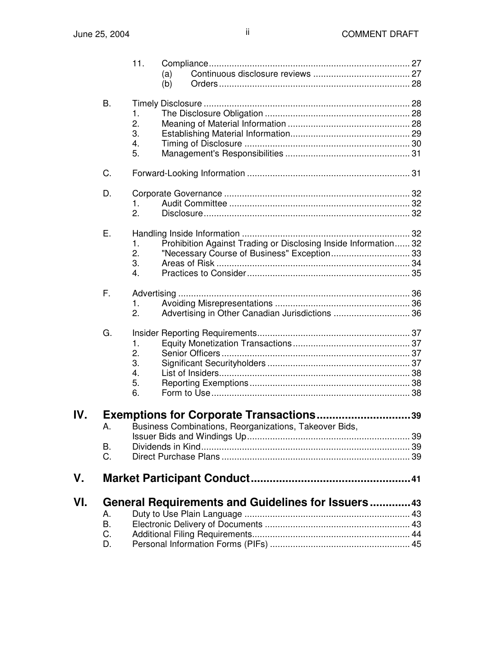|     |                      | 11.                                          | (a)<br>(b)                                                                                               |  |
|-----|----------------------|----------------------------------------------|----------------------------------------------------------------------------------------------------------|--|
|     | Β.                   | 1.<br>2.<br>3.<br>4.<br>5.                   |                                                                                                          |  |
|     | C.                   |                                              |                                                                                                          |  |
|     | D.<br>Е.             | 1.<br>2.                                     |                                                                                                          |  |
|     |                      | 1.<br>2.<br>3.<br>4.                         | Prohibition Against Trading or Disclosing Inside Information 32                                          |  |
|     | F.                   | 1.<br>2.                                     | Advertising in Other Canadian Jurisdictions 36                                                           |  |
|     | G.                   | $\mathbf{1}$ .<br>2.<br>3.<br>4.<br>5.<br>6. |                                                                                                          |  |
| IV. | А.<br>В.<br>C.       |                                              | <b>Exemptions for Corporate Transactions39</b><br>Business Combinations, Reorganizations, Takeover Bids, |  |
| V.  |                      |                                              |                                                                                                          |  |
| VI. | А.<br>В.<br>C.<br>D. |                                              | General Requirements and Guidelines for Issuers43                                                        |  |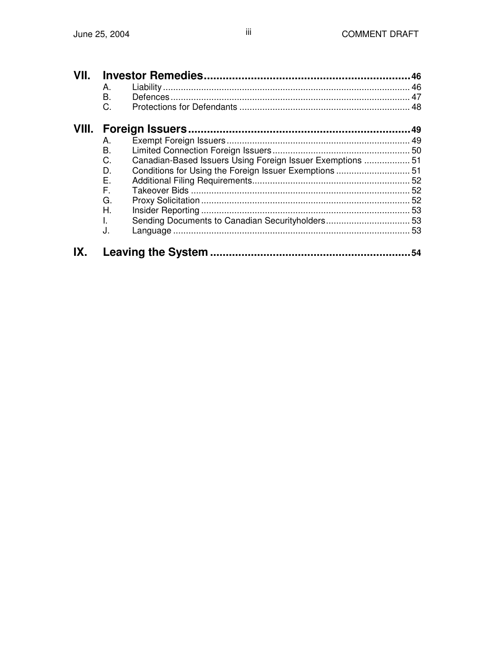| VII. | Α.<br>Β. |                                                            |  |  |
|------|----------|------------------------------------------------------------|--|--|
|      | C.       |                                                            |  |  |
|      |          |                                                            |  |  |
|      | Α.       |                                                            |  |  |
|      | В.       |                                                            |  |  |
|      | C.       | Canadian-Based Issuers Using Foreign Issuer Exemptions  51 |  |  |
|      | D.       |                                                            |  |  |
|      | Е.       |                                                            |  |  |
|      | F.       |                                                            |  |  |
|      | G.       |                                                            |  |  |
|      | Н.       |                                                            |  |  |
|      | L.       |                                                            |  |  |
|      | J.       |                                                            |  |  |
|      |          |                                                            |  |  |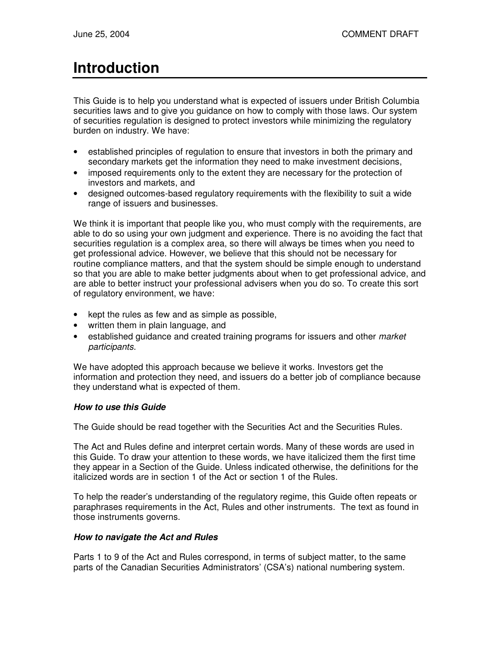# **Introduction**

This Guide is to help you understand what is expected of issuers under British Columbia securities laws and to give you guidance on how to comply with those laws. Our system of securities regulation is designed to protect investors while minimizing the regulatory burden on industry. We have:

- established principles of regulation to ensure that investors in both the primary and secondary markets get the information they need to make investment decisions,
- imposed requirements only to the extent they are necessary for the protection of investors and markets, and
- designed outcomes-based regulatory requirements with the flexibility to suit a wide range of issuers and businesses.

We think it is important that people like you, who must comply with the requirements, are able to do so using your own judgment and experience. There is no avoiding the fact that securities regulation is a complex area, so there will always be times when you need to get professional advice. However, we believe that this should not be necessary for routine compliance matters, and that the system should be simple enough to understand so that you are able to make better judgments about when to get professional advice, and are able to better instruct your professional advisers when you do so. To create this sort of regulatory environment, we have:

- kept the rules as few and as simple as possible,
- written them in plain language, and
- established guidance and created training programs for issuers and other *market participants*.

We have adopted this approach because we believe it works. Investors get the information and protection they need, and issuers do a better job of compliance because they understand what is expected of them.

#### *How to use this Guide*

The Guide should be read together with the Securities Act and the Securities Rules.

The Act and Rules define and interpret certain words. Many of these words are used in this Guide. To draw your attention to these words, we have italicized them the first time they appear in a Section of the Guide. Unless indicated otherwise, the definitions for the italicized words are in section 1 of the Act or section 1 of the Rules.

To help the reader's understanding of the regulatory regime, this Guide often repeats or paraphrases requirements in the Act, Rules and other instruments. The text as found in those instruments governs.

#### *How to navigate the Act and Rules*

Parts 1 to 9 of the Act and Rules correspond, in terms of subject matter, to the same parts of the Canadian Securities Administrators' (CSA's) national numbering system.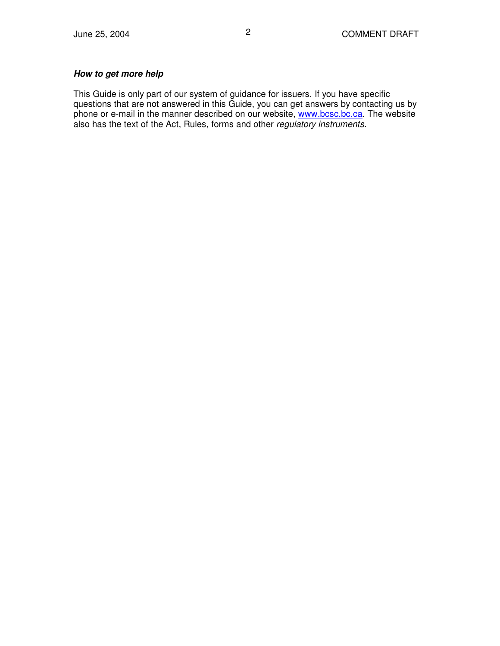#### *How to get more help*

This Guide is only part of our system of guidance for issuers. If you have specific questions that are not answered in this Guide, you can get answers by contacting us by phone or e-mail in the manner described on our website, www.bcsc.bc.ca. The website also has the text of the Act, Rules, forms and other *regulatory instruments*.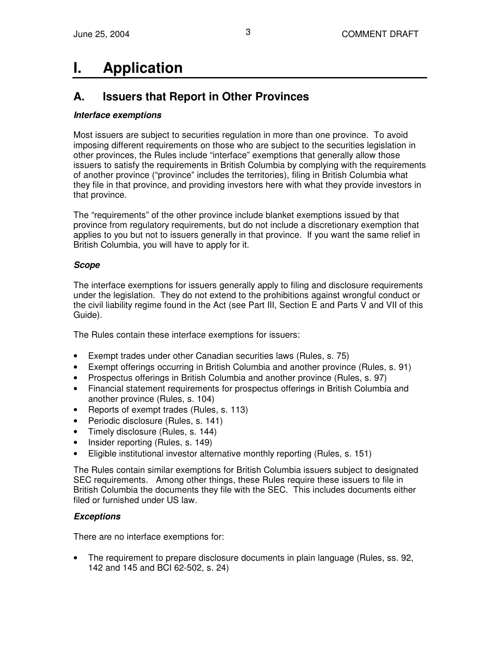# **I. Application**

## **A. Issuers that Report in Other Provinces**

#### *Interface exemptions*

Most issuers are subject to securities regulation in more than one province. To avoid imposing different requirements on those who are subject to the securities legislation in other provinces, the Rules include "interface" exemptions that generally allow those issuers to satisfy the requirements in British Columbia by complying with the requirements of another province ("province" includes the territories), filing in British Columbia what they file in that province, and providing investors here with what they provide investors in that province.

The "requirements" of the other province include blanket exemptions issued by that province from regulatory requirements, but do not include a discretionary exemption that applies to you but not to issuers generally in that province. If you want the same relief in British Columbia, you will have to apply for it.

#### *Scope*

The interface exemptions for issuers generally apply to filing and disclosure requirements under the legislation. They do not extend to the prohibitions against wrongful conduct or the civil liability regime found in the Act (see Part III, Section E and Parts V and VII of this Guide).

The Rules contain these interface exemptions for issuers:

- Exempt trades under other Canadian securities laws (Rules, s. 75)
- Exempt offerings occurring in British Columbia and another province (Rules, s. 91)
- Prospectus offerings in British Columbia and another province (Rules, s. 97)
- Financial statement requirements for prospectus offerings in British Columbia and another province (Rules, s. 104)
- Reports of exempt trades (Rules, s. 113)
- Periodic disclosure (Rules, s. 141)
- Timely disclosure (Rules, s. 144)
- Insider reporting (Rules, s. 149)
- Eligible institutional investor alternative monthly reporting (Rules, s. 151)

The Rules contain similar exemptions for British Columbia issuers subject to designated SEC requirements. Among other things, these Rules require these issuers to file in British Columbia the documents they file with the SEC. This includes documents either filed or furnished under US law

#### *Exceptions*

There are no interface exemptions for:

• The requirement to prepare disclosure documents in plain language (Rules, ss. 92, 142 and 145 and BCI 62-502, s. 24)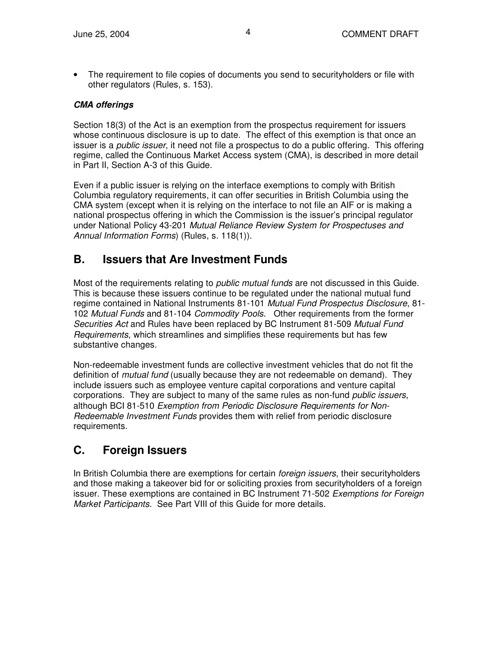• The requirement to file copies of documents you send to securityholders or file with other regulators (Rules, s. 153).

#### *CMA offerings*

Section 18(3) of the Act is an exemption from the prospectus requirement for issuers whose continuous disclosure is up to date. The effect of this exemption is that once an issuer is a *public issuer*, it need not file a prospectus to do a public offering. This offering regime, called the Continuous Market Access system (CMA), is described in more detail in Part II, Section A-3 of this Guide.

Even if a public issuer is relying on the interface exemptions to comply with British Columbia regulatory requirements, it can offer securities in British Columbia using the CMA system (except when it is relying on the interface to not file an AIF or is making a national prospectus offering in which the Commission is the issuer's principal regulator under National Policy 43-201 *Mutual Reliance Review System for Prospectuses and Annual Information Forms*) (Rules, s. 118(1)).

## **B. Issuers that Are Investment Funds**

Most of the requirements relating to *public mutual funds* are not discussed in this Guide. This is because these issuers continue to be regulated under the national mutual fund regime contained in National Instruments 81-101 *Mutual Fund Prospectus Disclosure*, 81- 102 *Mutual Funds* and 81-104 *Commodity Pools*. Other requirements from the former *Securities Act* and Rules have been replaced by BC Instrument 81-509 *Mutual Fund Requirements*, which streamlines and simplifies these requirements but has few substantive changes.

Non-redeemable investment funds are collective investment vehicles that do not fit the definition of *mutual fund* (usually because they are not redeemable on demand). They include issuers such as employee venture capital corporations and venture capital corporations. They are subject to many of the same rules as non-fund *public issuers*, although BCI 81-510 *Exemption from Periodic Disclosure Requirements for Non-Redeemable Investment Funds* provides them with relief from periodic disclosure requirements.

## **C. Foreign Issuers**

In British Columbia there are exemptions for certain *foreign issuers*, their securityholders and those making a takeover bid for or soliciting proxies from securityholders of a foreign issuer. These exemptions are contained in BC Instrument 71-502 *Exemptions for Foreign Market Participants*. See Part VIII of this Guide for more details.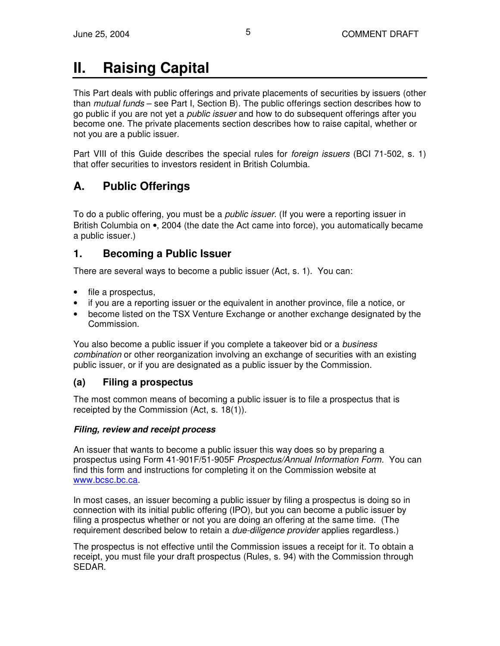# **II. Raising Capital**

This Part deals with public offerings and private placements of securities by issuers (other than *mutual funds* – see Part I, Section B). The public offerings section describes how to go public if you are not yet a *public issuer* and how to do subsequent offerings after you become one. The private placements section describes how to raise capital, whether or not you are a public issuer.

Part VIII of this Guide describes the special rules for *foreign issuers* (BCI 71-502, s. 1) that offer securities to investors resident in British Columbia.

## **A. Public Offerings**

To do a public offering, you must be a *public issuer.* (If you were a reporting issuer in British Columbia on •, 2004 (the date the Act came into force), you automatically became a public issuer.)

## **1. Becoming a Public Issuer**

There are several ways to become a public issuer (Act, s. 1). You can:

- file a prospectus,
- if you are a reporting issuer or the equivalent in another province, file a notice, or
- become listed on the TSX Venture Exchange or another exchange designated by the Commission.

You also become a public issuer if you complete a takeover bid or a *business combination* or other reorganization involving an exchange of securities with an existing public issuer, or if you are designated as a public issuer by the Commission.

## **(a) Filing a prospectus**

The most common means of becoming a public issuer is to file a prospectus that is receipted by the Commission (Act, s. 18(1)).

#### *Filing, review and receipt process*

An issuer that wants to become a public issuer this way does so by preparing a prospectus using Form 41-901F/51-905F *Prospectus/Annual Information Form.* You can find this form and instructions for completing it on the Commission website at www.bcsc.bc.ca.

In most cases, an issuer becoming a public issuer by filing a prospectus is doing so in connection with its initial public offering (IPO), but you can become a public issuer by filing a prospectus whether or not you are doing an offering at the same time. (The requirement described below to retain a *due-diligence provider* applies regardless.)

The prospectus is not effective until the Commission issues a receipt for it. To obtain a receipt, you must file your draft prospectus (Rules, s. 94) with the Commission through SEDAR.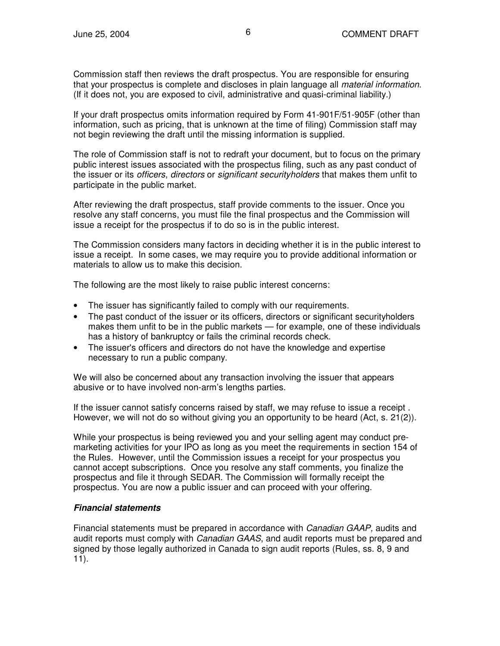Commission staff then reviews the draft prospectus. You are responsible for ensuring that your prospectus is complete and discloses in plain language all *material information*. (If it does not, you are exposed to civil, administrative and quasi-criminal liability.)

If your draft prospectus omits information required by Form 41-901F/51-905F (other than information, such as pricing, that is unknown at the time of filing) Commission staff may not begin reviewing the draft until the missing information is supplied.

The role of Commission staff is not to redraft your document, but to focus on the primary public interest issues associated with the prospectus filing, such as any past conduct of the issuer or its *officers*, *directors* or *significant securityholders* that makes them unfit to participate in the public market.

After reviewing the draft prospectus, staff provide comments to the issuer. Once you resolve any staff concerns, you must file the final prospectus and the Commission will issue a receipt for the prospectus if to do so is in the public interest.

The Commission considers many factors in deciding whether it is in the public interest to issue a receipt. In some cases, we may require you to provide additional information or materials to allow us to make this decision.

The following are the most likely to raise public interest concerns:

- The issuer has significantly failed to comply with our requirements.
- The past conduct of the issuer or its officers, directors or significant securityholders makes them unfit to be in the public markets — for example, one of these individuals has a history of bankruptcy or fails the criminal records check.
- The issuer's officers and directors do not have the knowledge and expertise necessary to run a public company.

We will also be concerned about any transaction involving the issuer that appears abusive or to have involved non-arm's lengths parties.

If the issuer cannot satisfy concerns raised by staff, we may refuse to issue a receipt . However, we will not do so without giving you an opportunity to be heard (Act, s. 21(2)).

While your prospectus is being reviewed you and your selling agent may conduct premarketing activities for your IPO as long as you meet the requirements in section 154 of the Rules. However, until the Commission issues a receipt for your prospectus you cannot accept subscriptions. Once you resolve any staff comments, you finalize the prospectus and file it through SEDAR. The Commission will formally receipt the prospectus. You are now a public issuer and can proceed with your offering.

#### *Financial statements*

Financial statements must be prepared in accordance with *Canadian GAAP,* audits and audit reports must comply with *Canadian GAAS*, and audit reports must be prepared and signed by those legally authorized in Canada to sign audit reports (Rules, ss. 8, 9 and 11).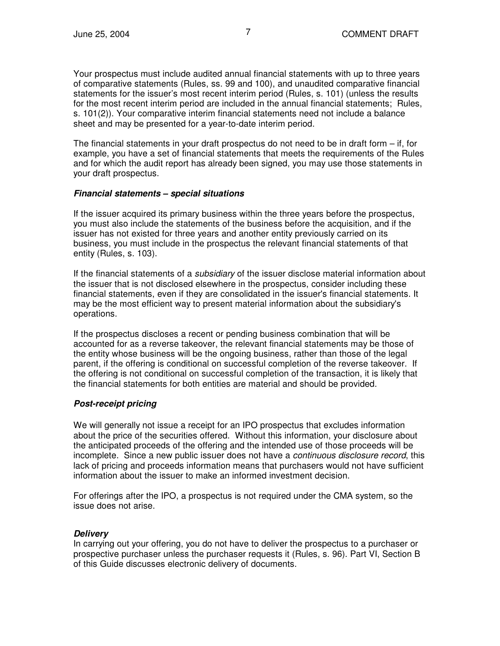Your prospectus must include audited annual financial statements with up to three years of comparative statements (Rules, ss. 99 and 100), and unaudited comparative financial statements for the issuer's most recent interim period (Rules, s. 101) (unless the results for the most recent interim period are included in the annual financial statements; Rules, s. 101(2)). Your comparative interim financial statements need not include a balance sheet and may be presented for a year-to-date interim period.

The financial statements in your draft prospectus do not need to be in draft form  $-$  if, for example, you have a set of financial statements that meets the requirements of the Rules and for which the audit report has already been signed, you may use those statements in your draft prospectus.

#### *Financial statements – special situations*

If the issuer acquired its primary business within the three years before the prospectus, you must also include the statements of the business before the acquisition, and if the issuer has not existed for three years and another entity previously carried on its business, you must include in the prospectus the relevant financial statements of that entity (Rules, s. 103).

If the financial statements of a *subsidiary* of the issuer disclose material information about the issuer that is not disclosed elsewhere in the prospectus, consider including these financial statements, even if they are consolidated in the issuer's financial statements. It may be the most efficient way to present material information about the subsidiary's operations.

If the prospectus discloses a recent or pending business combination that will be accounted for as a reverse takeover, the relevant financial statements may be those of the entity whose business will be the ongoing business, rather than those of the legal parent, if the offering is conditional on successful completion of the reverse takeover. If the offering is not conditional on successful completion of the transaction, it is likely that the financial statements for both entities are material and should be provided.

#### *Post-receipt pricing*

We will generally not issue a receipt for an IPO prospectus that excludes information about the price of the securities offered. Without this information, your disclosure about the anticipated proceeds of the offering and the intended use of those proceeds will be incomplete. Since a new public issuer does not have a *continuous disclosure record*, this lack of pricing and proceeds information means that purchasers would not have sufficient information about the issuer to make an informed investment decision.

For offerings after the IPO, a prospectus is not required under the CMA system, so the issue does not arise.

#### *Delivery*

In carrying out your offering, you do not have to deliver the prospectus to a purchaser or prospective purchaser unless the purchaser requests it (Rules, s. 96). Part VI, Section B of this Guide discusses electronic delivery of documents.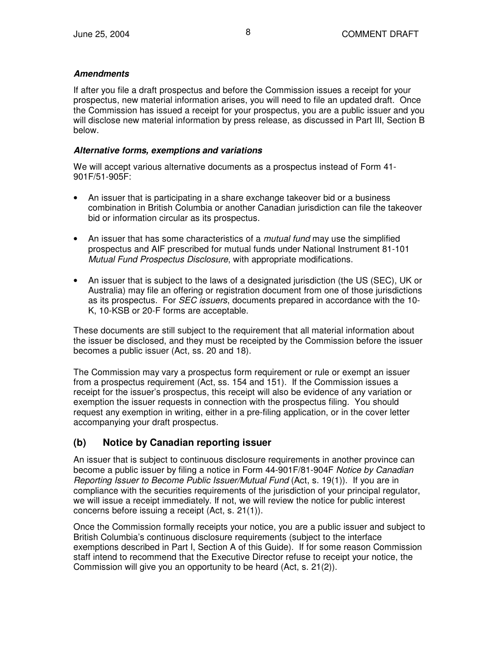#### *Amendments*

If after you file a draft prospectus and before the Commission issues a receipt for your prospectus, new material information arises, you will need to file an updated draft. Once the Commission has issued a receipt for your prospectus, you are a public issuer and you will disclose new material information by press release, as discussed in Part III, Section B below.

#### *Alternative forms, exemptions and variations*

We will accept various alternative documents as a prospectus instead of Form 41- 901F/51-905F:

- An issuer that is participating in a share exchange takeover bid or a business combination in British Columbia or another Canadian jurisdiction can file the takeover bid or information circular as its prospectus.
- An issuer that has some characteristics of a *mutual fund* may use the simplified prospectus and AIF prescribed for mutual funds under National Instrument 81-101 *Mutual Fund Prospectus Disclosure*, with appropriate modifications.
- An issuer that is subject to the laws of a designated jurisdiction (the US (SEC), UK or Australia) may file an offering or registration document from one of those jurisdictions as its prospectus. For *SEC issuers*, documents prepared in accordance with the 10- K, 10-KSB or 20-F forms are acceptable.

These documents are still subject to the requirement that all material information about the issuer be disclosed, and they must be receipted by the Commission before the issuer becomes a public issuer (Act, ss. 20 and 18).

The Commission may vary a prospectus form requirement or rule or exempt an issuer from a prospectus requirement (Act, ss. 154 and 151). If the Commission issues a receipt for the issuer's prospectus, this receipt will also be evidence of any variation or exemption the issuer requests in connection with the prospectus filing. You should request any exemption in writing, either in a pre-filing application, or in the cover letter accompanying your draft prospectus.

## **(b) Notice by Canadian reporting issuer**

An issuer that is subject to continuous disclosure requirements in another province can become a public issuer by filing a notice in Form 44-901F/81-904F *Notice by Canadian Reporting Issuer to Become Public Issuer/Mutual Fund* (Act, s. 19(1)). If you are in compliance with the securities requirements of the jurisdiction of your principal regulator, we will issue a receipt immediately. If not, we will review the notice for public interest concerns before issuing a receipt (Act, s. 21(1)).

Once the Commission formally receipts your notice, you are a public issuer and subject to British Columbia's continuous disclosure requirements (subject to the interface exemptions described in Part I, Section A of this Guide). If for some reason Commission staff intend to recommend that the Executive Director refuse to receipt your notice, the Commission will give you an opportunity to be heard (Act, s. 21(2)).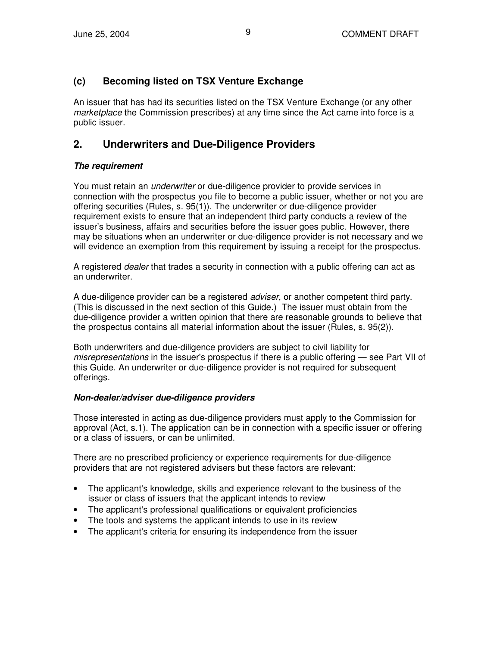### **(c) Becoming listed on TSX Venture Exchange**

An issuer that has had its securities listed on the TSX Venture Exchange (or any other *marketplace* the Commission prescribes) at any time since the Act came into force is a public issuer.

## **2. Underwriters and Due-Diligence Providers**

#### *The requirement*

You must retain an *underwriter* or due-diligence provider to provide services in connection with the prospectus you file to become a public issuer, whether or not you are offering securities (Rules, s. 95(1)). The underwriter or due-diligence provider requirement exists to ensure that an independent third party conducts a review of the issuer's business, affairs and securities before the issuer goes public. However, there may be situations when an underwriter or due-diligence provider is not necessary and we will evidence an exemption from this requirement by issuing a receipt for the prospectus.

A registered *dealer* that trades a security in connection with a public offering can act as an underwriter.

A due-diligence provider can be a registered *adviser*, or another competent third party. (This is discussed in the next section of this Guide.) The issuer must obtain from the due-diligence provider a written opinion that there are reasonable grounds to believe that the prospectus contains all material information about the issuer (Rules, s. 95(2)).

Both underwriters and due-diligence providers are subject to civil liability for *misrepresentations* in the issuer's prospectus if there is a public offering — see Part VII of this Guide. An underwriter or due-diligence provider is not required for subsequent offerings.

#### *Non-dealer/adviser due-diligence providers*

Those interested in acting as due-diligence providers must apply to the Commission for approval (Act, s.1). The application can be in connection with a specific issuer or offering or a class of issuers, or can be unlimited.

There are no prescribed proficiency or experience requirements for due-diligence providers that are not registered advisers but these factors are relevant:

- The applicant's knowledge, skills and experience relevant to the business of the issuer or class of issuers that the applicant intends to review
- The applicant's professional qualifications or equivalent proficiencies
- The tools and systems the applicant intends to use in its review
- The applicant's criteria for ensuring its independence from the issuer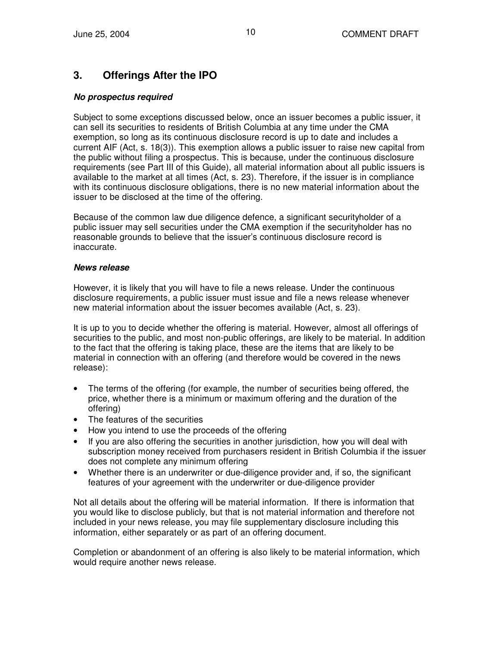## **3. Offerings After the IPO**

#### *No prospectus required*

Subject to some exceptions discussed below, once an issuer becomes a public issuer, it can sell its securities to residents of British Columbia at any time under the CMA exemption, so long as its continuous disclosure record is up to date and includes a current AIF (Act, s. 18(3)). This exemption allows a public issuer to raise new capital from the public without filing a prospectus. This is because, under the continuous disclosure requirements (see Part III of this Guide), all material information about all public issuers is available to the market at all times (Act, s. 23). Therefore, if the issuer is in compliance with its continuous disclosure obligations, there is no new material information about the issuer to be disclosed at the time of the offering.

Because of the common law due diligence defence, a significant securityholder of a public issuer may sell securities under the CMA exemption if the securityholder has no reasonable grounds to believe that the issuer's continuous disclosure record is inaccurate.

#### *News release*

However, it is likely that you will have to file a news release. Under the continuous disclosure requirements, a public issuer must issue and file a news release whenever new material information about the issuer becomes available (Act, s. 23).

It is up to you to decide whether the offering is material. However, almost all offerings of securities to the public, and most non-public offerings, are likely to be material. In addition to the fact that the offering is taking place, these are the items that are likely to be material in connection with an offering (and therefore would be covered in the news release):

- The terms of the offering (for example, the number of securities being offered, the price, whether there is a minimum or maximum offering and the duration of the offering)
- The features of the securities
- How you intend to use the proceeds of the offering
- If you are also offering the securities in another jurisdiction, how you will deal with subscription money received from purchasers resident in British Columbia if the issuer does not complete any minimum offering
- Whether there is an underwriter or due-diligence provider and, if so, the significant features of your agreement with the underwriter or due-diligence provider

Not all details about the offering will be material information. If there is information that you would like to disclose publicly, but that is not material information and therefore not included in your news release, you may file supplementary disclosure including this information, either separately or as part of an offering document.

Completion or abandonment of an offering is also likely to be material information, which would require another news release.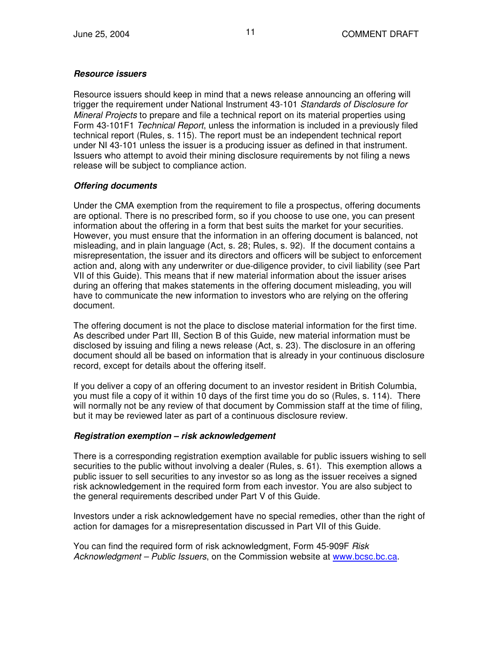#### *Resource issuers*

Resource issuers should keep in mind that a news release announcing an offering will trigger the requirement under National Instrument 43-101 *Standards of Disclosure for Mineral Projects* to prepare and file a technical report on its material properties using Form 43-101F1 *Technical Report*, unless the information is included in a previously filed technical report (Rules, s. 115). The report must be an independent technical report under NI 43-101 unless the issuer is a producing issuer as defined in that instrument. Issuers who attempt to avoid their mining disclosure requirements by not filing a news release will be subject to compliance action.

#### *Offering documents*

Under the CMA exemption from the requirement to file a prospectus, offering documents are optional. There is no prescribed form, so if you choose to use one, you can present information about the offering in a form that best suits the market for your securities. However, you must ensure that the information in an offering document is balanced, not misleading, and in plain language (Act, s. 28; Rules, s. 92). If the document contains a misrepresentation, the issuer and its directors and officers will be subject to enforcement action and, along with any underwriter or due-diligence provider, to civil liability (see Part VII of this Guide). This means that if new material information about the issuer arises during an offering that makes statements in the offering document misleading, you will have to communicate the new information to investors who are relying on the offering document.

The offering document is not the place to disclose material information for the first time. As described under Part III, Section B of this Guide, new material information must be disclosed by issuing and filing a news release (Act, s. 23). The disclosure in an offering document should all be based on information that is already in your continuous disclosure record, except for details about the offering itself*.*

If you deliver a copy of an offering document to an investor resident in British Columbia, you must file a copy of it within 10 days of the first time you do so (Rules, s. 114). There will normally not be any review of that document by Commission staff at the time of filing, but it may be reviewed later as part of a continuous disclosure review.

#### *Registration exemption – risk acknowledgement*

There is a corresponding registration exemption available for public issuers wishing to sell securities to the public without involving a dealer (Rules, s. 61). This exemption allows a public issuer to sell securities to any investor so as long as the issuer receives a signed risk acknowledgement in the required form from each investor. You are also subject to the general requirements described under Part V of this Guide.

Investors under a risk acknowledgement have no special remedies, other than the right of action for damages for a misrepresentation discussed in Part VII of this Guide.

You can find the required form of risk acknowledgment, Form 45-909F *Risk Acknowledgment – Public Issuers*, on the Commission website at www.bcsc.bc.ca.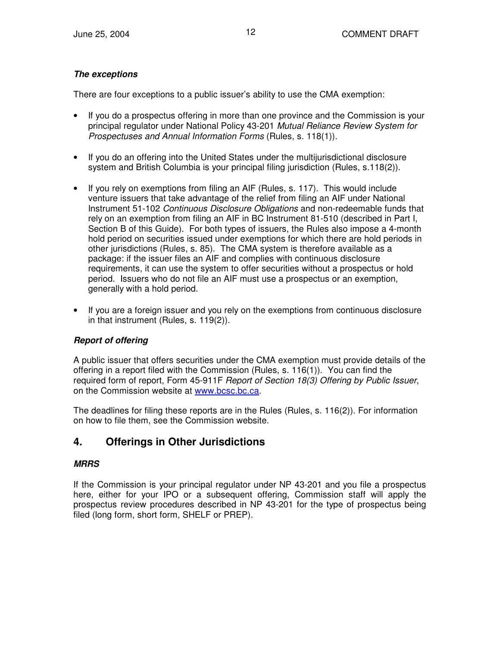#### *The exceptions*

There are four exceptions to a public issuer's ability to use the CMA exemption:

- If you do a prospectus offering in more than one province and the Commission is your principal regulator under National Policy 43-201 *Mutual Reliance Review System for Prospectuses and Annual Information Forms* (Rules, s. 118(1)).
- If you do an offering into the United States under the multijurisdictional disclosure system and British Columbia is your principal filing jurisdiction (Rules, s.118(2)).
- If you rely on exemptions from filing an AIF (Rules, s. 117). This would include venture issuers that take advantage of the relief from filing an AIF under National Instrument 51-102 *Continuous Disclosure Obligations* and non-redeemable funds that rely on an exemption from filing an AIF in BC Instrument 81-510 (described in Part I, Section B of this Guide). For both types of issuers, the Rules also impose a 4-month hold period on securities issued under exemptions for which there are hold periods in other jurisdictions (Rules, s. 85). The CMA system is therefore available as a package: if the issuer files an AIF and complies with continuous disclosure requirements, it can use the system to offer securities without a prospectus or hold period. Issuers who do not file an AIF must use a prospectus or an exemption, generally with a hold period.
- If you are a foreign issuer and you rely on the exemptions from continuous disclosure in that instrument (Rules, s. 119(2)).

#### *Report of offering*

A public issuer that offers securities under the CMA exemption must provide details of the offering in a report filed with the Commission (Rules, s. 116(1)). You can find the required form of report, Form 45-911F *Report of Section 18(3) Offering by Public Issuer*, on the Commission website at www.bcsc.bc.ca.

The deadlines for filing these reports are in the Rules (Rules, s. 116(2)). For information on how to file them, see the Commission website.

## **4. Offerings in Other Jurisdictions**

#### *MRRS*

If the Commission is your principal regulator under NP 43-201 and you file a prospectus here, either for your IPO or a subsequent offering, Commission staff will apply the prospectus review procedures described in NP 43-201 for the type of prospectus being filed (long form, short form, SHELF or PREP)*.*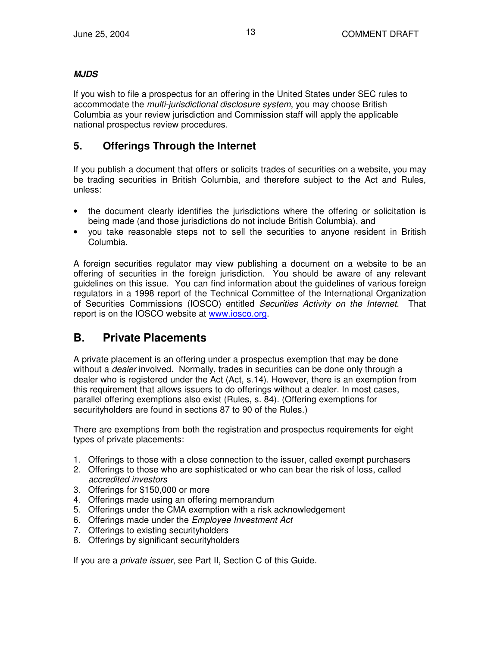#### *MJDS*

If you wish to file a prospectus for an offering in the United States under SEC rules to accommodate the *multi-jurisdictional disclosure system*, you may choose British Columbia as your review jurisdiction and Commission staff will apply the applicable national prospectus review procedures.

## **5. Offerings Through the Internet**

If you publish a document that offers or solicits trades of securities on a website, you may be trading securities in British Columbia, and therefore subject to the Act and Rules, unless:

- the document clearly identifies the jurisdictions where the offering or solicitation is being made (and those jurisdictions do not include British Columbia), and
- you take reasonable steps not to sell the securities to anyone resident in British Columbia.

A foreign securities regulator may view publishing a document on a website to be an offering of securities in the foreign jurisdiction. You should be aware of any relevant guidelines on this issue. You can find information about the guidelines of various foreign regulators in a 1998 report of the Technical Committee of the International Organization of Securities Commissions (IOSCO) entitled *Securities Activity on the Internet*. That report is on the IOSCO website at www.iosco.org.

## **B. Private Placements**

A private placement is an offering under a prospectus exemption that may be done without a *dealer* involved. Normally, trades in securities can be done only through a dealer who is registered under the Act (Act, s.14). However, there is an exemption from this requirement that allows issuers to do offerings without a dealer. In most cases, parallel offering exemptions also exist (Rules, s. 84). (Offering exemptions for securityholders are found in sections 87 to 90 of the Rules.)

There are exemptions from both the registration and prospectus requirements for eight types of private placements:

- 1. Offerings to those with a close connection to the issuer, called exempt purchasers
- 2. Offerings to those who are sophisticated or who can bear the risk of loss, called *accredited investors*
- 3. Offerings for \$150,000 or more
- 4. Offerings made using an offering memorandum
- 5. Offerings under the CMA exemption with a risk acknowledgement
- 6. Offerings made under the *Employee Investment Act*
- 7. Offerings to existing securityholders
- 8. Offerings by significant securityholders

If you are a *private issuer*, see Part II, Section C of this Guide.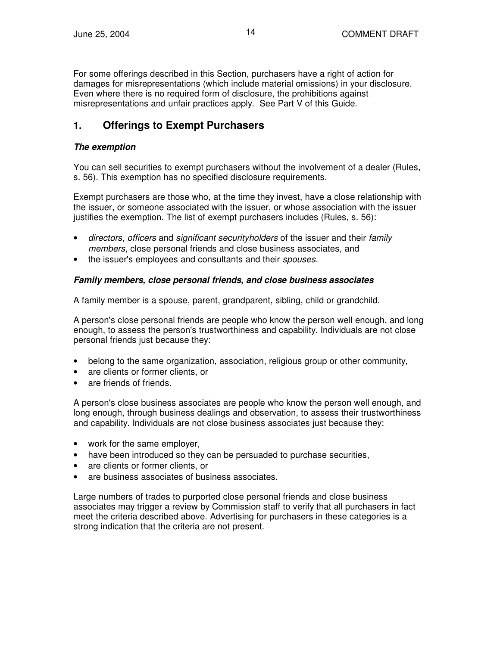For some offerings described in this Section, purchasers have a right of action for damages for misrepresentations (which include material omissions) in your disclosure. Even where there is no required form of disclosure, the prohibitions against misrepresentations and unfair practices apply. See Part V of this Guide.

## **1. Offerings to Exempt Purchasers**

#### *The exemption*

You can sell securities to exempt purchasers without the involvement of a dealer (Rules, s. 56). This exemption has no specified disclosure requirements.

Exempt purchasers are those who, at the time they invest, have a close relationship with the issuer, or someone associated with the issuer, or whose association with the issuer justifies the exemption. The list of exempt purchasers includes (Rules, s. 56):

- *directors*, *officers* and *significant securityholders* of the issuer and their *family members*, close personal friends and close business associates, and
- the issuer's employees and consultants and their *spouses*.

#### *Family members, close personal friends, and close business associates*

A family member is a spouse, parent, grandparent, sibling, child or grandchild.

A person's close personal friends are people who know the person well enough, and long enough, to assess the person's trustworthiness and capability. Individuals are not close personal friends just because they:

- belong to the same organization, association, religious group or other community,
- are clients or former clients, or
- are friends of friends.

A person's close business associates are people who know the person well enough, and long enough, through business dealings and observation, to assess their trustworthiness and capability. Individuals are not close business associates just because they:

- work for the same employer,
- have been introduced so they can be persuaded to purchase securities,
- are clients or former clients, or
- are business associates of business associates.

Large numbers of trades to purported close personal friends and close business associates may trigger a review by Commission staff to verify that all purchasers in fact meet the criteria described above. Advertising for purchasers in these categories is a strong indication that the criteria are not present.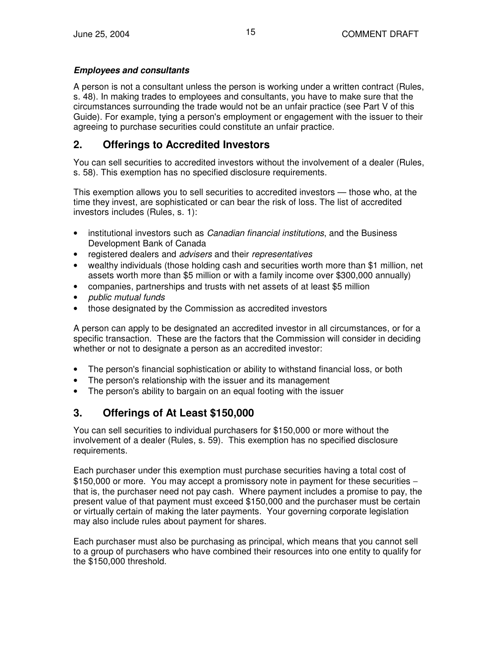#### *Employees and consultants*

A person is not a consultant unless the person is working under a written contract (Rules, s. 48). In making trades to employees and consultants, you have to make sure that the circumstances surrounding the trade would not be an unfair practice (see Part V of this Guide). For example, tying a person's employment or engagement with the issuer to their agreeing to purchase securities could constitute an unfair practice.

## **2. Offerings to Accredited Investors**

You can sell securities to accredited investors without the involvement of a dealer (Rules, s. 58). This exemption has no specified disclosure requirements.

This exemption allows you to sell securities to accredited investors — those who, at the time they invest, are sophisticated or can bear the risk of loss. The list of accredited investors includes (Rules, s. 1):

- institutional investors such as *Canadian financial institutions*, and the Business Development Bank of Canada
- registered dealers and *advisers* and their *representatives*
- wealthy individuals (those holding cash and securities worth more than \$1 million, net assets worth more than \$5 million or with a family income over \$300,000 annually)
- companies, partnerships and trusts with net assets of at least \$5 million
- *public mutual funds*
- those designated by the Commission as accredited investors

A person can apply to be designated an accredited investor in all circumstances, or for a specific transaction. These are the factors that the Commission will consider in deciding whether or not to designate a person as an accredited investor:

- The person's financial sophistication or ability to withstand financial loss, or both
- The person's relationship with the issuer and its management
- The person's ability to bargain on an equal footing with the issuer

## **3. Offerings of At Least \$150,000**

You can sell securities to individual purchasers for \$150,000 or more without the involvement of a dealer (Rules, s. 59). This exemption has no specified disclosure requirements.

Each purchaser under this exemption must purchase securities having a total cost of \$150,000 or more. You may accept a promissory note in payment for these securities − that is, the purchaser need not pay cash. Where payment includes a promise to pay, the present value of that payment must exceed \$150,000 and the purchaser must be certain or virtually certain of making the later payments. Your governing corporate legislation may also include rules about payment for shares.

Each purchaser must also be purchasing as principal, which means that you cannot sell to a group of purchasers who have combined their resources into one entity to qualify for the \$150,000 threshold.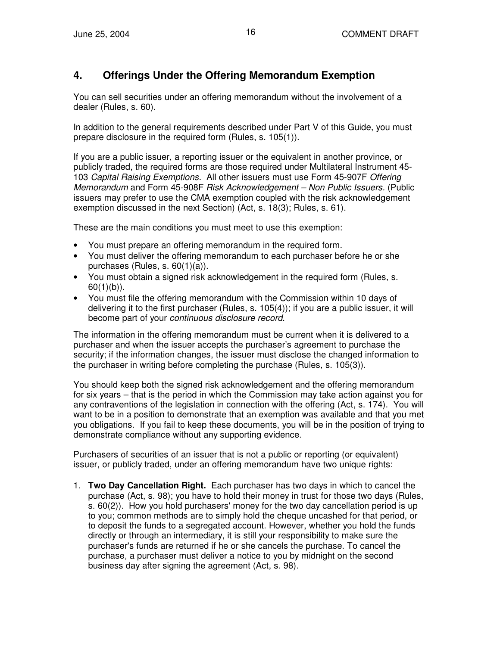## **4. Offerings Under the Offering Memorandum Exemption**

You can sell securities under an offering memorandum without the involvement of a dealer (Rules, s. 60).

In addition to the general requirements described under Part V of this Guide, you must prepare disclosure in the required form (Rules, s. 105(1)).

If you are a public issuer, a reporting issuer or the equivalent in another province, or publicly traded, the required forms are those required under Multilateral Instrument 45- 103 *Capital Raising Exemptions.* All other issuers must use Form 45-907F *Offering Memorandum* and Form 45-908F *Risk Acknowledgement – Non Public Issuers.* (Public issuers may prefer to use the CMA exemption coupled with the risk acknowledgement exemption discussed in the next Section) (Act, s. 18(3); Rules, s. 61).

These are the main conditions you must meet to use this exemption:

- You must prepare an offering memorandum in the required form.
- You must deliver the offering memorandum to each purchaser before he or she purchases (Rules, s. 60(1)(a)).
- You must obtain a signed risk acknowledgement in the required form (Rules, s.  $60(1)(b)$ ).
- You must file the offering memorandum with the Commission within 10 days of delivering it to the first purchaser (Rules, s. 105(4)); if you are a public issuer, it will become part of your *continuous disclosure record*.

The information in the offering memorandum must be current when it is delivered to a purchaser and when the issuer accepts the purchaser's agreement to purchase the security; if the information changes, the issuer must disclose the changed information to the purchaser in writing before completing the purchase (Rules, s. 105(3)).

You should keep both the signed risk acknowledgement and the offering memorandum for six years – that is the period in which the Commission may take action against you for any contraventions of the legislation in connection with the offering (Act, s. 174). You will want to be in a position to demonstrate that an exemption was available and that you met you obligations. If you fail to keep these documents, you will be in the position of trying to demonstrate compliance without any supporting evidence.

Purchasers of securities of an issuer that is not a public or reporting (or equivalent) issuer, or publicly traded, under an offering memorandum have two unique rights:

1. **Two Day Cancellation Right.** Each purchaser has two days in which to cancel the purchase (Act, s. 98); you have to hold their money in trust for those two days (Rules, s. 60(2)). How you hold purchasers' money for the two day cancellation period is up to you; common methods are to simply hold the cheque uncashed for that period, or to deposit the funds to a segregated account. However, whether you hold the funds directly or through an intermediary, it is still your responsibility to make sure the purchaser's funds are returned if he or she cancels the purchase. To cancel the purchase, a purchaser must deliver a notice to you by midnight on the second business day after signing the agreement (Act, s. 98).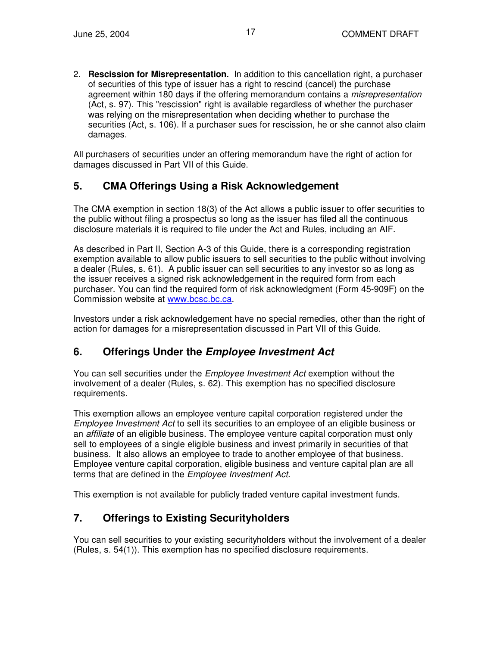2. **Rescission for Misrepresentation.** In addition to this cancellation right, a purchaser of securities of this type of issuer has a right to rescind (cancel) the purchase agreement within 180 days if the offering memorandum contains a *misrepresentation* (Act, s. 97). This "rescission" right is available regardless of whether the purchaser was relying on the misrepresentation when deciding whether to purchase the securities (Act, s. 106). If a purchaser sues for rescission, he or she cannot also claim damages.

All purchasers of securities under an offering memorandum have the right of action for damages discussed in Part VII of this Guide.

## **5. CMA Offerings Using a Risk Acknowledgement**

The CMA exemption in section 18(3) of the Act allows a public issuer to offer securities to the public without filing a prospectus so long as the issuer has filed all the continuous disclosure materials it is required to file under the Act and Rules, including an AIF.

As described in Part II, Section A-3 of this Guide, there is a corresponding registration exemption available to allow public issuers to sell securities to the public without involving a dealer (Rules, s. 61). A public issuer can sell securities to any investor so as long as the issuer receives a signed risk acknowledgement in the required form from each purchaser. You can find the required form of risk acknowledgment (Form 45-909F) on the Commission website at www.bcsc.bc.ca.

Investors under a risk acknowledgement have no special remedies, other than the right of action for damages for a misrepresentation discussed in Part VII of this Guide.

## **6. Offerings Under the** *Employee Investment Act*

You can sell securities under the *Employee Investment Act* exemption without the involvement of a dealer (Rules, s. 62). This exemption has no specified disclosure requirements.

This exemption allows an employee venture capital corporation registered under the *Employee Investment Act* to sell its securities to an employee of an eligible business or an *affiliate* of an eligible business. The employee venture capital corporation must only sell to employees of a single eligible business and invest primarily in securities of that business. It also allows an employee to trade to another employee of that business. Employee venture capital corporation, eligible business and venture capital plan are all terms that are defined in the *Employee Investment Act*.

This exemption is not available for publicly traded venture capital investment funds.

## **7. Offerings to Existing Securityholders**

You can sell securities to your existing securityholders without the involvement of a dealer (Rules, s. 54(1)). This exemption has no specified disclosure requirements.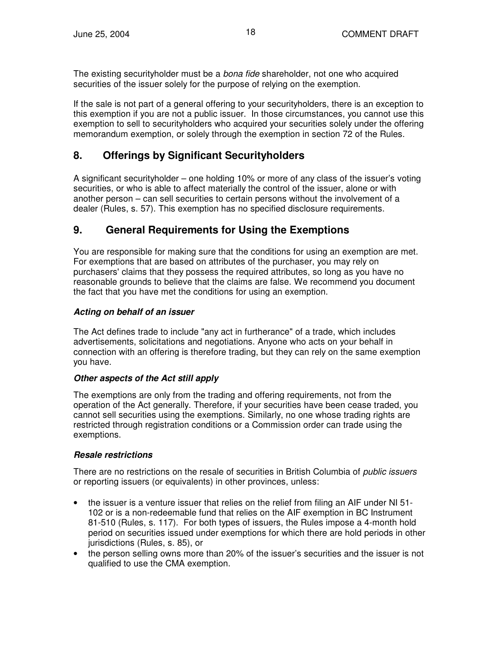The existing securityholder must be a *bona fide* shareholder, not one who acquired securities of the issuer solely for the purpose of relying on the exemption.

If the sale is not part of a general offering to your securityholders, there is an exception to this exemption if you are not a public issuer. In those circumstances, you cannot use this exemption to sell to securityholders who acquired your securities solely under the offering memorandum exemption, or solely through the exemption in section 72 of the Rules.

## **8. Offerings by Significant Securityholders**

A significant securityholder – one holding 10% or more of any class of the issuer's voting securities, or who is able to affect materially the control of the issuer, alone or with another person – can sell securities to certain persons without the involvement of a dealer (Rules, s. 57). This exemption has no specified disclosure requirements.

## **9. General Requirements for Using the Exemptions**

You are responsible for making sure that the conditions for using an exemption are met. For exemptions that are based on attributes of the purchaser, you may rely on purchasers' claims that they possess the required attributes, so long as you have no reasonable grounds to believe that the claims are false. We recommend you document the fact that you have met the conditions for using an exemption.

#### *Acting on behalf of an issuer*

The Act defines trade to include "any act in furtherance" of a trade, which includes advertisements, solicitations and negotiations. Anyone who acts on your behalf in connection with an offering is therefore trading, but they can rely on the same exemption you have.

#### *Other aspects of the Act still apply*

The exemptions are only from the trading and offering requirements, not from the operation of the Act generally. Therefore, if your securities have been cease traded, you cannot sell securities using the exemptions. Similarly, no one whose trading rights are restricted through registration conditions or a Commission order can trade using the exemptions.

#### *Resale restrictions*

There are no restrictions on the resale of securities in British Columbia of *public issuers* or reporting issuers (or equivalents) in other provinces, unless:

- the issuer is a venture issuer that relies on the relief from filing an AIF under NI 51- 102 or is a non-redeemable fund that relies on the AIF exemption in BC Instrument 81-510 (Rules, s. 117). For both types of issuers, the Rules impose a 4-month hold period on securities issued under exemptions for which there are hold periods in other jurisdictions (Rules, s. 85), or
- the person selling owns more than 20% of the issuer's securities and the issuer is not qualified to use the CMA exemption.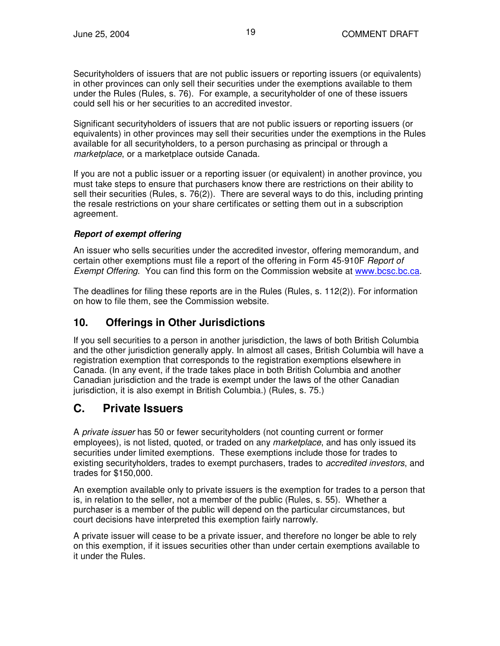Securityholders of issuers that are not public issuers or reporting issuers (or equivalents) in other provinces can only sell their securities under the exemptions available to them under the Rules (Rules, s. 76). For example, a securityholder of one of these issuers could sell his or her securities to an accredited investor.

Significant securityholders of issuers that are not public issuers or reporting issuers (or equivalents) in other provinces may sell their securities under the exemptions in the Rules available for all securityholders, to a person purchasing as principal or through a *marketplace*, or a marketplace outside Canada.

If you are not a public issuer or a reporting issuer (or equivalent) in another province, you must take steps to ensure that purchasers know there are restrictions on their ability to sell their securities (Rules, s. 76(2)). There are several ways to do this, including printing the resale restrictions on your share certificates or setting them out in a subscription agreement.

#### *Report of exempt offering*

An issuer who sells securities under the accredited investor, offering memorandum, and certain other exemptions must file a report of the offering in Form 45-910F *Report of Exempt Offering*. You can find this form on the Commission website at www.bcsc.bc.ca.

The deadlines for filing these reports are in the Rules (Rules, s. 112(2)). For information on how to file them, see the Commission website.

## **10. Offerings in Other Jurisdictions**

If you sell securities to a person in another jurisdiction, the laws of both British Columbia and the other jurisdiction generally apply. In almost all cases, British Columbia will have a registration exemption that corresponds to the registration exemptions elsewhere in Canada. (In any event, if the trade takes place in both British Columbia and another Canadian jurisdiction and the trade is exempt under the laws of the other Canadian jurisdiction, it is also exempt in British Columbia.) (Rules, s. 75.)

## **C. Private Issuers**

A *private issuer* has 50 or fewer securityholders (not counting current or former employees), is not listed, quoted, or traded on any *marketplace*, and has only issued its securities under limited exemptions. These exemptions include those for trades to existing securityholders, trades to exempt purchasers, trades to *accredited investors*, and trades for \$150,000.

An exemption available only to private issuers is the exemption for trades to a person that is, in relation to the seller, not a member of the public (Rules, s. 55). Whether a purchaser is a member of the public will depend on the particular circumstances, but court decisions have interpreted this exemption fairly narrowly.

A private issuer will cease to be a private issuer, and therefore no longer be able to rely on this exemption, if it issues securities other than under certain exemptions available to it under the Rules.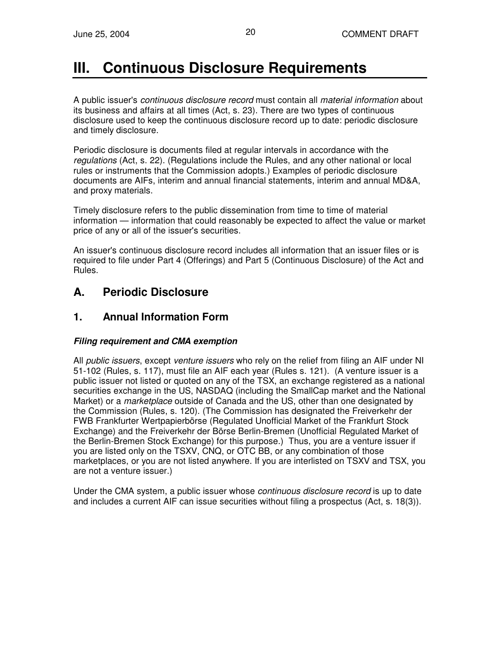# **III. Continuous Disclosure Requirements**

A public issuer's *continuous disclosure record* must contain all *material information* about its business and affairs at all times (Act, s. 23). There are two types of continuous disclosure used to keep the continuous disclosure record up to date: periodic disclosure and timely disclosure.

Periodic disclosure is documents filed at regular intervals in accordance with the *regulations* (Act, s. 22). (Regulations include the Rules, and any other national or local rules or instruments that the Commission adopts.) Examples of periodic disclosure documents are AIFs, interim and annual financial statements, interim and annual MD&A, and proxy materials.

Timely disclosure refers to the public dissemination from time to time of material information — information that could reasonably be expected to affect the value or market price of any or all of the issuer's securities.

An issuer's continuous disclosure record includes all information that an issuer files or is required to file under Part 4 (Offerings) and Part 5 (Continuous Disclosure) of the Act and Rules.

## **A. Periodic Disclosure**

## **1. Annual Information Form**

#### *Filing requirement and CMA exemption*

All *public issuers*, except *venture issuers* who rely on the relief from filing an AIF under NI 51-102 (Rules, s. 117), must file an AIF each year (Rules s. 121). (A venture issuer is a public issuer not listed or quoted on any of the TSX, an exchange registered as a national securities exchange in the US, NASDAQ (including the SmallCap market and the National Market) or a *marketplace* outside of Canada and the US, other than one designated by the Commission (Rules, s. 120). (The Commission has designated the Freiverkehr der FWB Frankfurter Wertpapierbörse (Regulated Unofficial Market of the Frankfurt Stock Exchange) and the Freiverkehr der Börse Berlin-Bremen (Unofficial Regulated Market of the Berlin-Bremen Stock Exchange) for this purpose.) Thus, you are a venture issuer if you are listed only on the TSXV, CNQ, or OTC BB, or any combination of those marketplaces, or you are not listed anywhere. If you are interlisted on TSXV and TSX, you are not a venture issuer.)

Under the CMA system, a public issuer whose *continuous disclosure record* is up to date and includes a current AIF can issue securities without filing a prospectus (Act, s. 18(3)).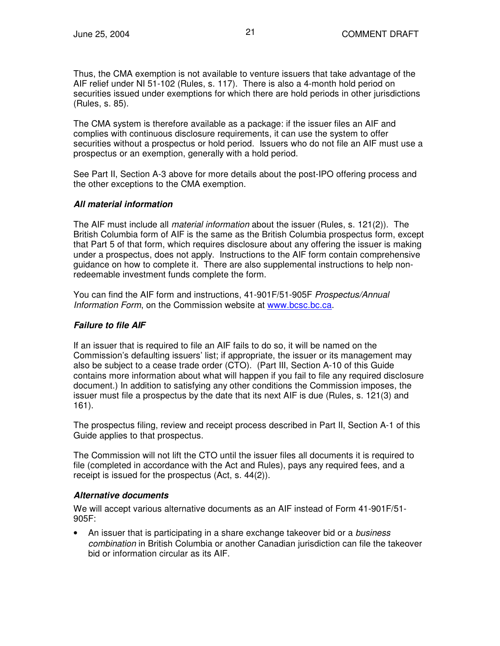Thus, the CMA exemption is not available to venture issuers that take advantage of the AIF relief under NI 51-102 (Rules, s. 117). There is also a 4-month hold period on securities issued under exemptions for which there are hold periods in other jurisdictions (Rules, s. 85).

The CMA system is therefore available as a package: if the issuer files an AIF and complies with continuous disclosure requirements, it can use the system to offer securities without a prospectus or hold period. Issuers who do not file an AIF must use a prospectus or an exemption, generally with a hold period.

See Part II, Section A-3 above for more details about the post-IPO offering process and the other exceptions to the CMA exemption.

#### *All material information*

The AIF must include all *material information* about the issuer (Rules, s. 121(2)). The British Columbia form of AIF is the same as the British Columbia prospectus form, except that Part 5 of that form, which requires disclosure about any offering the issuer is making under a prospectus, does not apply. Instructions to the AIF form contain comprehensive guidance on how to complete it. There are also supplemental instructions to help nonredeemable investment funds complete the form.

You can find the AIF form and instructions, 41-901F/51-905F *Prospectus/Annual Information Form*, on the Commission website at www.bcsc.bc.ca.

#### *Failure to file AIF*

If an issuer that is required to file an AIF fails to do so, it will be named on the Commission's defaulting issuers' list; if appropriate, the issuer or its management may also be subject to a cease trade order (CTO). (Part III, Section A-10 of this Guide contains more information about what will happen if you fail to file any required disclosure document.) In addition to satisfying any other conditions the Commission imposes, the issuer must file a prospectus by the date that its next AIF is due (Rules, s. 121(3) and 161).

The prospectus filing, review and receipt process described in Part II, Section A-1 of this Guide applies to that prospectus.

The Commission will not lift the CTO until the issuer files all documents it is required to file (completed in accordance with the Act and Rules), pays any required fees, and a receipt is issued for the prospectus (Act, s. 44(2)).

#### *Alternative documents*

We will accept various alternative documents as an AIF instead of Form 41-901F/51- 905F:

• An issuer that is participating in a share exchange takeover bid or a *business combination* in British Columbia or another Canadian jurisdiction can file the takeover bid or information circular as its AIF.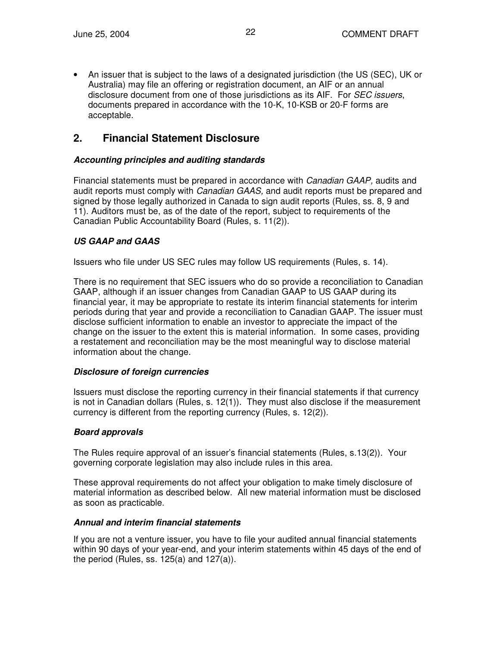• An issuer that is subject to the laws of a designated jurisdiction (the US (SEC), UK or Australia) may file an offering or registration document, an AIF or an annual disclosure document from one of those jurisdictions as its AIF. For *SEC issuers*, documents prepared in accordance with the 10-K, 10-KSB or 20-F forms are acceptable.

## **2. Financial Statement Disclosure**

#### *Accounting principles and auditing standards*

Financial statements must be prepared in accordance with *Canadian GAAP,* audits and audit reports must comply with *Canadian GAAS,* and audit reports must be prepared and signed by those legally authorized in Canada to sign audit reports (Rules, ss. 8, 9 and 11). Auditors must be, as of the date of the report, subject to requirements of the Canadian Public Accountability Board (Rules, s. 11(2)).

#### *US GAAP and GAAS*

Issuers who file under US SEC rules may follow US requirements (Rules, s. 14).

There is no requirement that SEC issuers who do so provide a reconciliation to Canadian GAAP, although if an issuer changes from Canadian GAAP to US GAAP during its financial year, it may be appropriate to restate its interim financial statements for interim periods during that year and provide a reconciliation to Canadian GAAP. The issuer must disclose sufficient information to enable an investor to appreciate the impact of the change on the issuer to the extent this is material information. In some cases, providing a restatement and reconciliation may be the most meaningful way to disclose material information about the change.

#### *Disclosure of foreign currencies*

Issuers must disclose the reporting currency in their financial statements if that currency is not in Canadian dollars (Rules, s. 12(1)). They must also disclose if the measurement currency is different from the reporting currency (Rules, s. 12(2)).

#### *Board approvals*

The Rules require approval of an issuer's financial statements (Rules, s.13(2)). Your governing corporate legislation may also include rules in this area.

These approval requirements do not affect your obligation to make timely disclosure of material information as described below. All new material information must be disclosed as soon as practicable.

#### *Annual and interim financial statements*

If you are not a venture issuer, you have to file your audited annual financial statements within 90 days of your year-end, and your interim statements within 45 days of the end of the period (Rules, ss. 125(a) and 127(a)).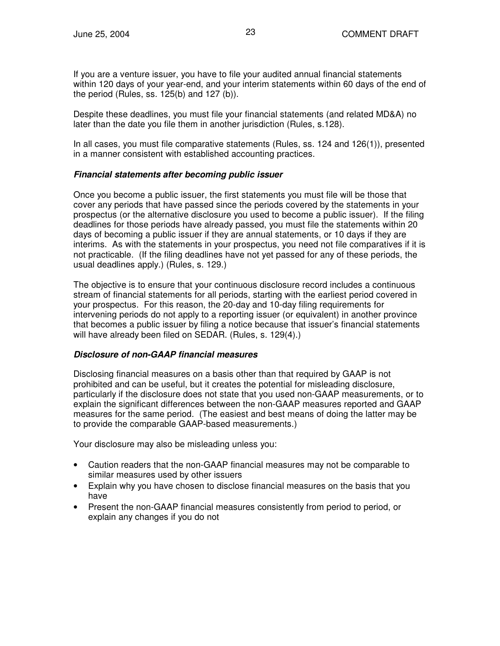If you are a venture issuer, you have to file your audited annual financial statements within 120 days of your year-end, and your interim statements within 60 days of the end of the period (Rules, ss. 125(b) and 127 (b)).

Despite these deadlines, you must file your financial statements (and related MD&A) no later than the date you file them in another jurisdiction (Rules, s.128).

In all cases, you must file comparative statements (Rules, ss. 124 and 126(1)), presented in a manner consistent with established accounting practices.

#### *Financial statements after becoming public issuer*

Once you become a public issuer, the first statements you must file will be those that cover any periods that have passed since the periods covered by the statements in your prospectus (or the alternative disclosure you used to become a public issuer). If the filing deadlines for those periods have already passed, you must file the statements within 20 days of becoming a public issuer if they are annual statements, or 10 days if they are interims. As with the statements in your prospectus, you need not file comparatives if it is not practicable. (If the filing deadlines have not yet passed for any of these periods, the usual deadlines apply.) (Rules, s. 129.)

The objective is to ensure that your continuous disclosure record includes a continuous stream of financial statements for all periods, starting with the earliest period covered in your prospectus. For this reason, the 20-day and 10-day filing requirements for intervening periods do not apply to a reporting issuer (or equivalent) in another province that becomes a public issuer by filing a notice because that issuer's financial statements will have already been filed on SEDAR. (Rules, s. 129(4).)

#### *Disclosure of non-GAAP financial measures*

Disclosing financial measures on a basis other than that required by GAAP is not prohibited and can be useful, but it creates the potential for misleading disclosure, particularly if the disclosure does not state that you used non-GAAP measurements, or to explain the significant differences between the non-GAAP measures reported and GAAP measures for the same period. (The easiest and best means of doing the latter may be to provide the comparable GAAP-based measurements.)

Your disclosure may also be misleading unless you:

- Caution readers that the non-GAAP financial measures may not be comparable to similar measures used by other issuers
- Explain why you have chosen to disclose financial measures on the basis that you have
- Present the non-GAAP financial measures consistently from period to period, or explain any changes if you do not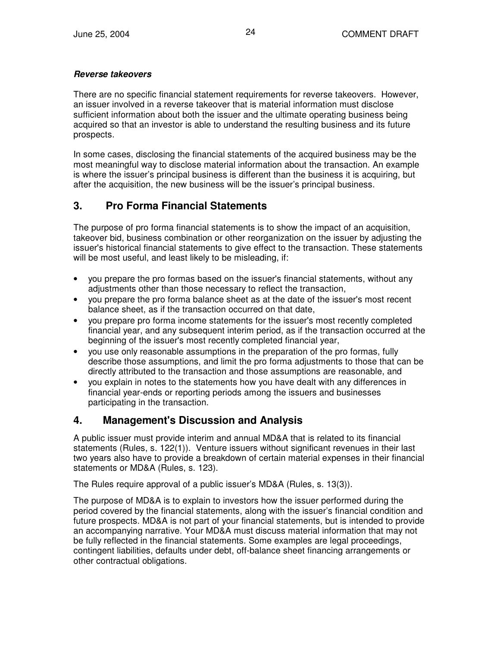#### *Reverse takeovers*

There are no specific financial statement requirements for reverse takeovers. However, an issuer involved in a reverse takeover that is material information must disclose sufficient information about both the issuer and the ultimate operating business being acquired so that an investor is able to understand the resulting business and its future prospects.

In some cases, disclosing the financial statements of the acquired business may be the most meaningful way to disclose material information about the transaction. An example is where the issuer's principal business is different than the business it is acquiring, but after the acquisition, the new business will be the issuer's principal business.

## **3. Pro Forma Financial Statements**

The purpose of pro forma financial statements is to show the impact of an acquisition, takeover bid, business combination or other reorganization on the issuer by adjusting the issuer's historical financial statements to give effect to the transaction. These statements will be most useful, and least likely to be misleading, if:

- you prepare the pro formas based on the issuer's financial statements, without any adjustments other than those necessary to reflect the transaction,
- you prepare the pro forma balance sheet as at the date of the issuer's most recent balance sheet, as if the transaction occurred on that date,
- you prepare pro forma income statements for the issuer's most recently completed financial year, and any subsequent interim period, as if the transaction occurred at the beginning of the issuer's most recently completed financial year,
- you use only reasonable assumptions in the preparation of the pro formas, fully describe those assumptions, and limit the pro forma adjustments to those that can be directly attributed to the transaction and those assumptions are reasonable, and
- you explain in notes to the statements how you have dealt with any differences in financial year-ends or reporting periods among the issuers and businesses participating in the transaction.

## **4. Management's Discussion and Analysis**

A public issuer must provide interim and annual MD&A that is related to its financial statements (Rules, s. 122(1)). Venture issuers without significant revenues in their last two years also have to provide a breakdown of certain material expenses in their financial statements or MD&A (Rules, s. 123).

The Rules require approval of a public issuer's MD&A (Rules, s. 13(3)).

The purpose of MD&A is to explain to investors how the issuer performed during the period covered by the financial statements, along with the issuer's financial condition and future prospects. MD&A is not part of your financial statements, but is intended to provide an accompanying narrative. Your MD&A must discuss material information that may not be fully reflected in the financial statements. Some examples are legal proceedings, contingent liabilities, defaults under debt, off-balance sheet financing arrangements or other contractual obligations.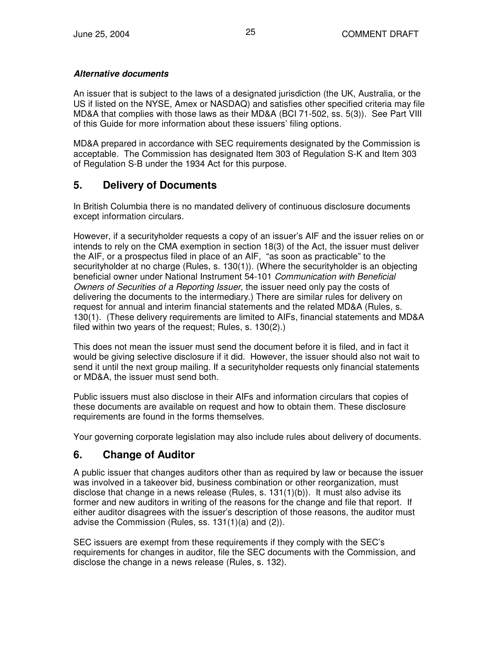#### *Alternative documents*

An issuer that is subject to the laws of a designated jurisdiction (the UK, Australia, or the US if listed on the NYSE, Amex or NASDAQ) and satisfies other specified criteria may file MD&A that complies with those laws as their MD&A (BCI 71-502, ss. 5(3)). See Part VIII of this Guide for more information about these issuers' filing options.

MD&A prepared in accordance with SEC requirements designated by the Commission is acceptable. The Commission has designated Item 303 of Regulation S-K and Item 303 of Regulation S-B under the 1934 Act for this purpose.

### **5. Delivery of Documents**

In British Columbia there is no mandated delivery of continuous disclosure documents except information circulars.

However, if a securityholder requests a copy of an issuer's AIF and the issuer relies on or intends to rely on the CMA exemption in section 18(3) of the Act, the issuer must deliver the AIF, or a prospectus filed in place of an AIF, "as soon as practicable" to the securityholder at no charge (Rules, s. 130(1)). (Where the securityholder is an objecting beneficial owner under National Instrument 54-101 *Communication with Beneficial Owners of Securities of a Reporting Issuer,* the issuer need only pay the costs of delivering the documents to the intermediary.) There are similar rules for delivery on request for annual and interim financial statements and the related MD&A (Rules, s. 130(1). (These delivery requirements are limited to AIFs, financial statements and MD&A filed within two years of the request; Rules, s. 130(2).)

This does not mean the issuer must send the document before it is filed, and in fact it would be giving selective disclosure if it did. However, the issuer should also not wait to send it until the next group mailing. If a securityholder requests only financial statements or MD&A, the issuer must send both.

Public issuers must also disclose in their AIFs and information circulars that copies of these documents are available on request and how to obtain them. These disclosure requirements are found in the forms themselves.

Your governing corporate legislation may also include rules about delivery of documents.

### **6. Change of Auditor**

A public issuer that changes auditors other than as required by law or because the issuer was involved in a takeover bid, business combination or other reorganization, must disclose that change in a news release (Rules, s. 131(1)(b)). It must also advise its former and new auditors in writing of the reasons for the change and file that report. If either auditor disagrees with the issuer's description of those reasons, the auditor must advise the Commission (Rules, ss. 131(1)(a) and (2)).

SEC issuers are exempt from these requirements if they comply with the SEC's requirements for changes in auditor, file the SEC documents with the Commission, and disclose the change in a news release (Rules, s. 132).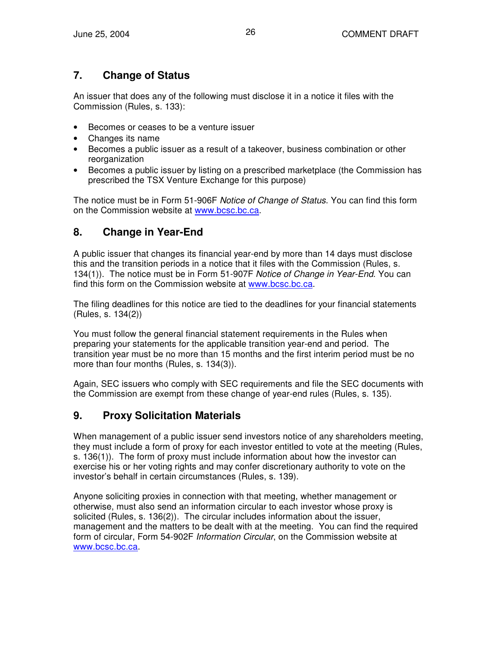## **7. Change of Status**

An issuer that does any of the following must disclose it in a notice it files with the Commission (Rules, s. 133):

- Becomes or ceases to be a venture issuer
- Changes its name
- Becomes a public issuer as a result of a takeover, business combination or other reorganization
- Becomes a public issuer by listing on a prescribed marketplace (the Commission has prescribed the TSX Venture Exchange for this purpose)

The notice must be in Form 51-906F *Notice of Change of Status*. You can find this form on the Commission website at www.bcsc.bc.ca.

## **8. Change in Year-End**

A public issuer that changes its financial year-end by more than 14 days must disclose this and the transition periods in a notice that it files with the Commission (Rules, s. 134(1)). The notice must be in Form 51-907F *Notice of Change in Year-End*. You can find this form on the Commission website at www.bcsc.bc.ca.

The filing deadlines for this notice are tied to the deadlines for your financial statements (Rules, s. 134(2))

You must follow the general financial statement requirements in the Rules when preparing your statements for the applicable transition year-end and period. The transition year must be no more than 15 months and the first interim period must be no more than four months (Rules, s. 134(3)).

Again, SEC issuers who comply with SEC requirements and file the SEC documents with the Commission are exempt from these change of year-end rules (Rules, s. 135).

## **9. Proxy Solicitation Materials**

When management of a public issuer send investors notice of any shareholders meeting, they must include a form of proxy for each investor entitled to vote at the meeting (Rules, s. 136(1)). The form of proxy must include information about how the investor can exercise his or her voting rights and may confer discretionary authority to vote on the investor's behalf in certain circumstances (Rules, s. 139).

Anyone soliciting proxies in connection with that meeting, whether management or otherwise, must also send an information circular to each investor whose proxy is solicited (Rules, s. 136(2)). The circular includes information about the issuer, management and the matters to be dealt with at the meeting. You can find the required form of circular, Form 54-902F *Information Circular*, on the Commission website at www.bcsc.bc.ca.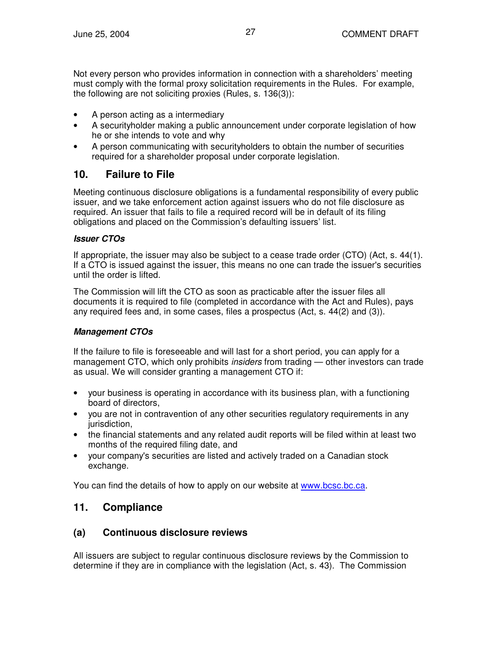Not every person who provides information in connection with a shareholders' meeting must comply with the formal proxy solicitation requirements in the Rules. For example, the following are not soliciting proxies (Rules, s. 136(3)):

- A person acting as a intermediary
- A securityholder making a public announcement under corporate legislation of how he or she intends to vote and why
- A person communicating with securityholders to obtain the number of securities required for a shareholder proposal under corporate legislation.

## **10. Failure to File**

Meeting continuous disclosure obligations is a fundamental responsibility of every public issuer, and we take enforcement action against issuers who do not file disclosure as required. An issuer that fails to file a required record will be in default of its filing obligations and placed on the Commission's defaulting issuers' list.

#### *Issuer CTOs*

If appropriate, the issuer may also be subject to a cease trade order (CTO) (Act, s. 44(1). If a CTO is issued against the issuer, this means no one can trade the issuer's securities until the order is lifted.

The Commission will lift the CTO as soon as practicable after the issuer files all documents it is required to file (completed in accordance with the Act and Rules), pays any required fees and, in some cases, files a prospectus (Act, s. 44(2) and (3)).

#### *Management CTOs*

If the failure to file is foreseeable and will last for a short period, you can apply for a management CTO, which only prohibits *insiders* from trading — other investors can trade as usual. We will consider granting a management CTO if:

- your business is operating in accordance with its business plan, with a functioning board of directors,
- you are not in contravention of any other securities regulatory requirements in any jurisdiction.
- the financial statements and any related audit reports will be filed within at least two months of the required filing date, and
- your company's securities are listed and actively traded on a Canadian stock exchange.

You can find the details of how to apply on our website at www.bcsc.bc.ca.

## **11. Compliance**

### **(a) Continuous disclosure reviews**

All issuers are subject to regular continuous disclosure reviews by the Commission to determine if they are in compliance with the legislation (Act, s. 43). The Commission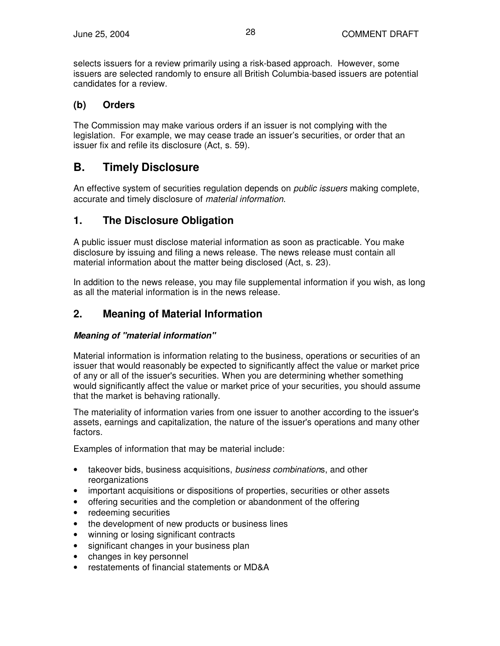selects issuers for a review primarily using a risk-based approach. However, some issuers are selected randomly to ensure all British Columbia-based issuers are potential candidates for a review.

### **(b) Orders**

The Commission may make various orders if an issuer is not complying with the legislation. For example, we may cease trade an issuer's securities, or order that an issuer fix and refile its disclosure (Act, s. 59).

## **B. Timely Disclosure**

An effective system of securities regulation depends on *public issuers* making complete, accurate and timely disclosure of *material information*.

## **1. The Disclosure Obligation**

A public issuer must disclose material information as soon as practicable. You make disclosure by issuing and filing a news release. The news release must contain all material information about the matter being disclosed (Act, s. 23).

In addition to the news release, you may file supplemental information if you wish, as long as all the material information is in the news release.

## **2. Meaning of Material Information**

#### *Meaning of "material information"*

Material information is information relating to the business, operations or securities of an issuer that would reasonably be expected to significantly affect the value or market price of any or all of the issuer's securities. When you are determining whether something would significantly affect the value or market price of your securities, you should assume that the market is behaving rationally.

The materiality of information varies from one issuer to another according to the issuer's assets, earnings and capitalization, the nature of the issuer's operations and many other factors.

Examples of information that may be material include:

- takeover bids, business acquisitions, *business combination*s, and other reorganizations
- important acquisitions or dispositions of properties, securities or other assets
- offering securities and the completion or abandonment of the offering
- redeeming securities
- the development of new products or business lines
- winning or losing significant contracts
- significant changes in your business plan
- changes in key personnel
- restatements of financial statements or MD&A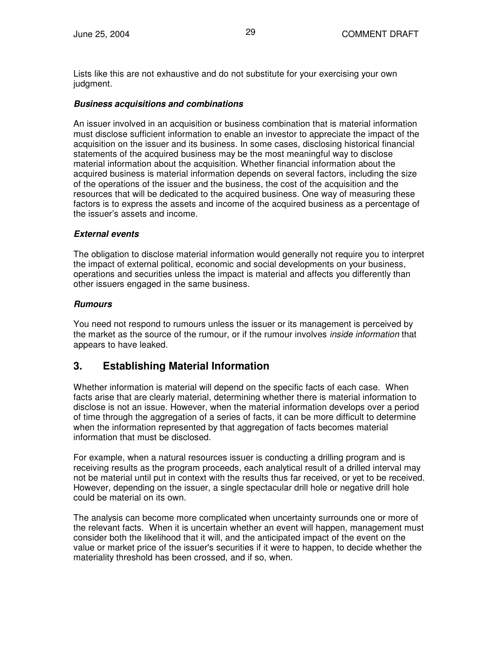Lists like this are not exhaustive and do not substitute for your exercising your own judgment.

#### *Business acquisitions and combinations*

An issuer involved in an acquisition or business combination that is material information must disclose sufficient information to enable an investor to appreciate the impact of the acquisition on the issuer and its business. In some cases, disclosing historical financial statements of the acquired business may be the most meaningful way to disclose material information about the acquisition. Whether financial information about the acquired business is material information depends on several factors, including the size of the operations of the issuer and the business, the cost of the acquisition and the resources that will be dedicated to the acquired business. One way of measuring these factors is to express the assets and income of the acquired business as a percentage of the issuer's assets and income.

#### *External events*

The obligation to disclose material information would generally not require you to interpret the impact of external political, economic and social developments on your business, operations and securities unless the impact is material and affects you differently than other issuers engaged in the same business.

#### *Rumours*

You need not respond to rumours unless the issuer or its management is perceived by the market as the source of the rumour, or if the rumour involves *inside information* that appears to have leaked.

### **3. Establishing Material Information**

Whether information is material will depend on the specific facts of each case. When facts arise that are clearly material, determining whether there is material information to disclose is not an issue. However, when the material information develops over a period of time through the aggregation of a series of facts, it can be more difficult to determine when the information represented by that aggregation of facts becomes material information that must be disclosed.

For example, when a natural resources issuer is conducting a drilling program and is receiving results as the program proceeds, each analytical result of a drilled interval may not be material until put in context with the results thus far received, or yet to be received. However, depending on the issuer, a single spectacular drill hole or negative drill hole could be material on its own.

The analysis can become more complicated when uncertainty surrounds one or more of the relevant facts. When it is uncertain whether an event will happen, management must consider both the likelihood that it will, and the anticipated impact of the event on the value or market price of the issuer's securities if it were to happen, to decide whether the materiality threshold has been crossed, and if so, when.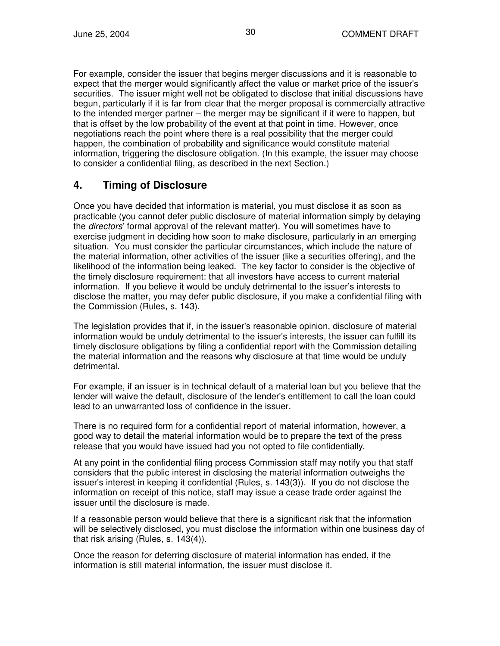For example, consider the issuer that begins merger discussions and it is reasonable to expect that the merger would significantly affect the value or market price of the issuer's securities. The issuer might well not be obligated to disclose that initial discussions have begun, particularly if it is far from clear that the merger proposal is commercially attractive to the intended merger partner – the merger may be significant if it were to happen, but that is offset by the low probability of the event at that point in time. However, once negotiations reach the point where there is a real possibility that the merger could happen, the combination of probability and significance would constitute material information, triggering the disclosure obligation. (In this example, the issuer may choose to consider a confidential filing, as described in the next Section.)

## **4. Timing of Disclosure**

Once you have decided that information is material, you must disclose it as soon as practicable (you cannot defer public disclosure of material information simply by delaying the *directors*' formal approval of the relevant matter). You will sometimes have to exercise judgment in deciding how soon to make disclosure, particularly in an emerging situation. You must consider the particular circumstances, which include the nature of the material information, other activities of the issuer (like a securities offering), and the likelihood of the information being leaked. The key factor to consider is the objective of the timely disclosure requirement: that all investors have access to current material information. If you believe it would be unduly detrimental to the issuer's interests to disclose the matter, you may defer public disclosure, if you make a confidential filing with the Commission (Rules, s. 143).

The legislation provides that if, in the issuer's reasonable opinion, disclosure of material information would be unduly detrimental to the issuer's interests, the issuer can fulfill its timely disclosure obligations by filing a confidential report with the Commission detailing the material information and the reasons why disclosure at that time would be unduly detrimental.

For example, if an issuer is in technical default of a material loan but you believe that the lender will waive the default, disclosure of the lender's entitlement to call the loan could lead to an unwarranted loss of confidence in the issuer.

There is no required form for a confidential report of material information, however, a good way to detail the material information would be to prepare the text of the press release that you would have issued had you not opted to file confidentially.

At any point in the confidential filing process Commission staff may notify you that staff considers that the public interest in disclosing the material information outweighs the issuer's interest in keeping it confidential (Rules, s. 143(3)). If you do not disclose the information on receipt of this notice, staff may issue a cease trade order against the issuer until the disclosure is made.

If a reasonable person would believe that there is a significant risk that the information will be selectively disclosed, you must disclose the information within one business day of that risk arising (Rules, s. 143(4)).

Once the reason for deferring disclosure of material information has ended, if the information is still material information, the issuer must disclose it.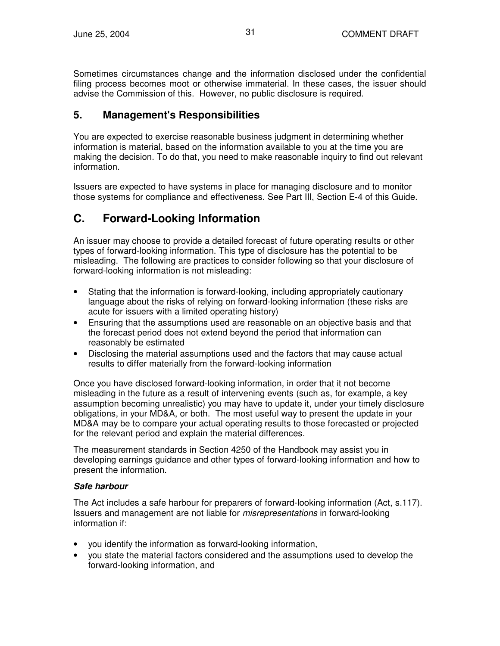Sometimes circumstances change and the information disclosed under the confidential filing process becomes moot or otherwise immaterial. In these cases, the issuer should advise the Commission of this. However, no public disclosure is required.

## **5. Management's Responsibilities**

You are expected to exercise reasonable business judgment in determining whether information is material, based on the information available to you at the time you are making the decision. To do that, you need to make reasonable inquiry to find out relevant information.

Issuers are expected to have systems in place for managing disclosure and to monitor those systems for compliance and effectiveness. See Part III, Section E-4 of this Guide.

## **C. Forward-Looking Information**

An issuer may choose to provide a detailed forecast of future operating results or other types of forward-looking information. This type of disclosure has the potential to be misleading. The following are practices to consider following so that your disclosure of forward-looking information is not misleading:

- Stating that the information is forward-looking, including appropriately cautionary language about the risks of relying on forward-looking information (these risks are acute for issuers with a limited operating history)
- Ensuring that the assumptions used are reasonable on an objective basis and that the forecast period does not extend beyond the period that information can reasonably be estimated
- Disclosing the material assumptions used and the factors that may cause actual results to differ materially from the forward-looking information

Once you have disclosed forward-looking information, in order that it not become misleading in the future as a result of intervening events (such as, for example, a key assumption becoming unrealistic) you may have to update it, under your timely disclosure obligations, in your MD&A, or both. The most useful way to present the update in your MD&A may be to compare your actual operating results to those forecasted or projected for the relevant period and explain the material differences.

The measurement standards in Section 4250 of the Handbook may assist you in developing earnings guidance and other types of forward-looking information and how to present the information.

#### *Safe harbour*

The Act includes a safe harbour for preparers of forward-looking information (Act, s.117). Issuers and management are not liable for *misrepresentations* in forward-looking information if:

- you identify the information as forward-looking information,
- you state the material factors considered and the assumptions used to develop the forward-looking information, and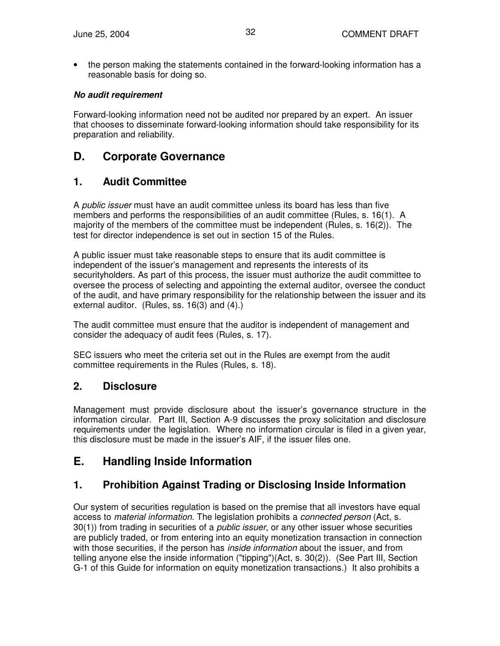• the person making the statements contained in the forward-looking information has a reasonable basis for doing so.

#### *No audit requirement*

Forward-looking information need not be audited nor prepared by an expert. An issuer that chooses to disseminate forward-looking information should take responsibility for its preparation and reliability.

## **D. Corporate Governance**

### **1. Audit Committee**

A *public issuer* must have an audit committee unless its board has less than five members and performs the responsibilities of an audit committee (Rules, s. 16(1). A majority of the members of the committee must be independent (Rules, s. 16(2)). The test for director independence is set out in section 15 of the Rules.

A public issuer must take reasonable steps to ensure that its audit committee is independent of the issuer's management and represents the interests of its securityholders. As part of this process, the issuer must authorize the audit committee to oversee the process of selecting and appointing the external auditor, oversee the conduct of the audit, and have primary responsibility for the relationship between the issuer and its external auditor. (Rules, ss. 16(3) and (4).)

The audit committee must ensure that the auditor is independent of management and consider the adequacy of audit fees (Rules, s. 17).

SEC issuers who meet the criteria set out in the Rules are exempt from the audit committee requirements in the Rules (Rules, s. 18).

### **2. Disclosure**

Management must provide disclosure about the issuer's governance structure in the information circular. Part III, Section A-9 discusses the proxy solicitation and disclosure requirements under the legislation. Where no information circular is filed in a given year, this disclosure must be made in the issuer's AIF, if the issuer files one.

## **E. Handling Inside Information**

## **1. Prohibition Against Trading or Disclosing Inside Information**

Our system of securities regulation is based on the premise that all investors have equal access to *material information*. The legislation prohibits a *connected person* (Act, s. 30(1)) from trading in securities of a *public issuer*, or any other issuer whose securities are publicly traded, or from entering into an equity monetization transaction in connection with those securities, if the person has *inside information* about the issuer, and from telling anyone else the inside information ("tipping")(Act, s. 30(2)). (See Part III, Section G-1 of this Guide for information on equity monetization transactions.) It also prohibits a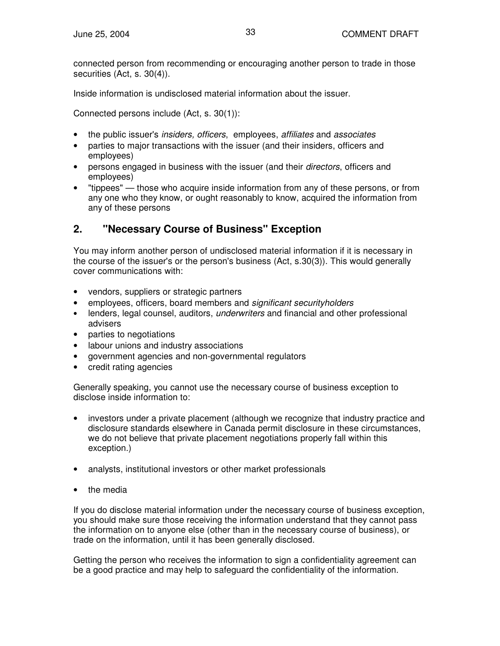connected person from recommending or encouraging another person to trade in those securities (Act, s. 30(4)).

Inside information is undisclosed material information about the issuer.

Connected persons include (Act, s. 30(1)):

- the public issuer's *insiders, officers*, employees, *affiliates* and *associates*
- parties to major transactions with the issuer (and their insiders, officers and employees)
- persons engaged in business with the issuer (and their *directors*, officers and employees)
- "tippees" those who acquire inside information from any of these persons, or from any one who they know, or ought reasonably to know, acquired the information from any of these persons

## **2. "Necessary Course of Business" Exception**

You may inform another person of undisclosed material information if it is necessary in the course of the issuer's or the person's business (Act, s.30(3)). This would generally cover communications with:

- vendors, suppliers or strategic partners
- employees, officers, board members and *significant securityholders*
- lenders, legal counsel, auditors, *underwriters* and financial and other professional advisers
- parties to negotiations
- labour unions and industry associations
- government agencies and non-governmental regulators
- credit rating agencies

Generally speaking, you cannot use the necessary course of business exception to disclose inside information to:

- investors under a private placement (although we recognize that industry practice and disclosure standards elsewhere in Canada permit disclosure in these circumstances, we do not believe that private placement negotiations properly fall within this exception.)
- analysts, institutional investors or other market professionals
- the media

If you do disclose material information under the necessary course of business exception, you should make sure those receiving the information understand that they cannot pass the information on to anyone else (other than in the necessary course of business), or trade on the information, until it has been generally disclosed.

Getting the person who receives the information to sign a confidentiality agreement can be a good practice and may help to safeguard the confidentiality of the information.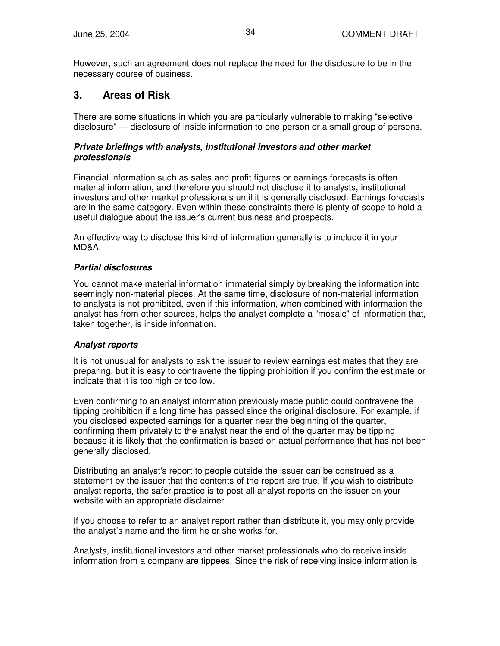However, such an agreement does not replace the need for the disclosure to be in the necessary course of business.

## **3. Areas of Risk**

There are some situations in which you are particularly vulnerable to making "selective disclosure" — disclosure of inside information to one person or a small group of persons.

#### *Private briefings with analysts, institutional investors and other market professionals*

Financial information such as sales and profit figures or earnings forecasts is often material information, and therefore you should not disclose it to analysts, institutional investors and other market professionals until it is generally disclosed. Earnings forecasts are in the same category. Even within these constraints there is plenty of scope to hold a useful dialogue about the issuer's current business and prospects.

An effective way to disclose this kind of information generally is to include it in your MD&A.

#### *Partial disclosures*

You cannot make material information immaterial simply by breaking the information into seemingly non-material pieces. At the same time, disclosure of non-material information to analysts is not prohibited, even if this information, when combined with information the analyst has from other sources, helps the analyst complete a "mosaic" of information that, taken together, is inside information.

#### *Analyst reports*

It is not unusual for analysts to ask the issuer to review earnings estimates that they are preparing, but it is easy to contravene the tipping prohibition if you confirm the estimate or indicate that it is too high or too low.

Even confirming to an analyst information previously made public could contravene the tipping prohibition if a long time has passed since the original disclosure. For example, if you disclosed expected earnings for a quarter near the beginning of the quarter, confirming them privately to the analyst near the end of the quarter may be tipping because it is likely that the confirmation is based on actual performance that has not been generally disclosed.

Distributing an analyst's report to people outside the issuer can be construed as a statement by the issuer that the contents of the report are true. If you wish to distribute analyst reports, the safer practice is to post all analyst reports on the issuer on your website with an appropriate disclaimer.

If you choose to refer to an analyst report rather than distribute it, you may only provide the analyst's name and the firm he or she works for.

Analysts, institutional investors and other market professionals who do receive inside information from a company are tippees. Since the risk of receiving inside information is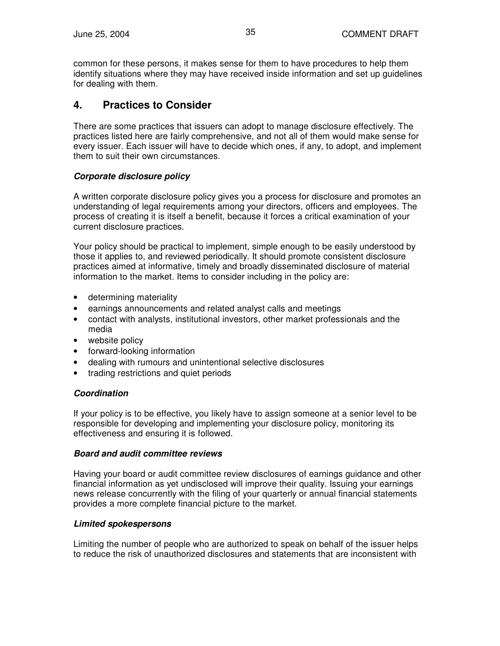common for these persons, it makes sense for them to have procedures to help them identify situations where they may have received inside information and set up guidelines for dealing with them.

### **4. Practices to Consider**

There are some practices that issuers can adopt to manage disclosure effectively. The practices listed here are fairly comprehensive, and not all of them would make sense for every issuer. Each issuer will have to decide which ones, if any, to adopt, and implement them to suit their own circumstances.

#### *Corporate disclosure policy*

A written corporate disclosure policy gives you a process for disclosure and promotes an understanding of legal requirements among your directors, officers and employees. The process of creating it is itself a benefit, because it forces a critical examination of your current disclosure practices.

Your policy should be practical to implement, simple enough to be easily understood by those it applies to, and reviewed periodically. It should promote consistent disclosure practices aimed at informative, timely and broadly disseminated disclosure of material information to the market. Items to consider including in the policy are:

- determining materiality
- earnings announcements and related analyst calls and meetings
- contact with analysts, institutional investors, other market professionals and the media
- website policy
- forward-looking information
- dealing with rumours and unintentional selective disclosures
- trading restrictions and quiet periods

#### *Coordination*

If your policy is to be effective, you likely have to assign someone at a senior level to be responsible for developing and implementing your disclosure policy, monitoring its effectiveness and ensuring it is followed.

#### *Board and audit committee reviews*

Having your board or audit committee review disclosures of earnings guidance and other financial information as yet undisclosed will improve their quality. Issuing your earnings news release concurrently with the filing of your quarterly or annual financial statements provides a more complete financial picture to the market.

#### *Limited spokespersons*

Limiting the number of people who are authorized to speak on behalf of the issuer helps to reduce the risk of unauthorized disclosures and statements that are inconsistent with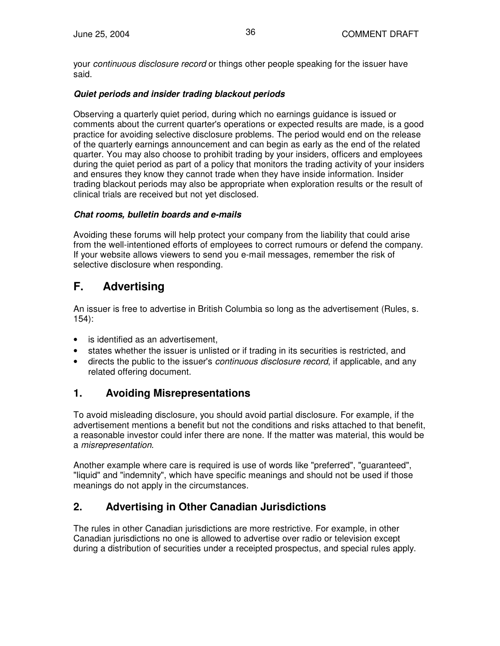your *continuous disclosure record* or things other people speaking for the issuer have said.

#### *Quiet periods and insider trading blackout periods*

Observing a quarterly quiet period, during which no earnings guidance is issued or comments about the current quarter's operations or expected results are made, is a good practice for avoiding selective disclosure problems. The period would end on the release of the quarterly earnings announcement and can begin as early as the end of the related quarter. You may also choose to prohibit trading by your insiders, officers and employees during the quiet period as part of a policy that monitors the trading activity of your insiders and ensures they know they cannot trade when they have inside information. Insider trading blackout periods may also be appropriate when exploration results or the result of clinical trials are received but not yet disclosed.

#### *Chat rooms, bulletin boards and e-mails*

Avoiding these forums will help protect your company from the liability that could arise from the well-intentioned efforts of employees to correct rumours or defend the company. If your website allows viewers to send you e-mail messages, remember the risk of selective disclosure when responding.

## **F. Advertising**

An issuer is free to advertise in British Columbia so long as the advertisement (Rules, s. 154):

- is identified as an advertisement,
- states whether the issuer is unlisted or if trading in its securities is restricted, and
- directs the public to the issuer's *continuous disclosure record*, if applicable, and any related offering document.

### **1. Avoiding Misrepresentations**

To avoid misleading disclosure, you should avoid partial disclosure. For example, if the advertisement mentions a benefit but not the conditions and risks attached to that benefit, a reasonable investor could infer there are none. If the matter was material, this would be a *misrepresentation*.

Another example where care is required is use of words like "preferred", "guaranteed", "liquid" and "indemnity", which have specific meanings and should not be used if those meanings do not apply in the circumstances.

## **2. Advertising in Other Canadian Jurisdictions**

The rules in other Canadian jurisdictions are more restrictive. For example, in other Canadian jurisdictions no one is allowed to advertise over radio or television except during a distribution of securities under a receipted prospectus, and special rules apply.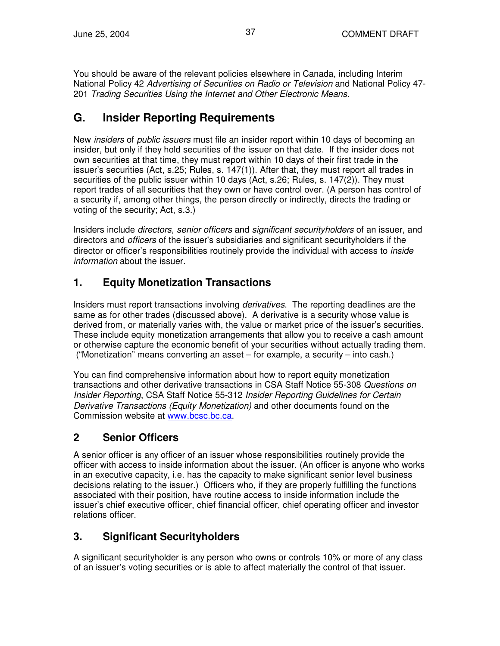You should be aware of the relevant policies elsewhere in Canada, including Interim National Policy 42 *Advertising of Securities on Radio or Television* and National Policy 47- 201 *Trading Securities Using the Internet and Other Electronic Means.*

## **G. Insider Reporting Requirements**

New *insiders* of *public issuers* must file an insider report within 10 days of becoming an insider, but only if they hold securities of the issuer on that date. If the insider does not own securities at that time, they must report within 10 days of their first trade in the issuer's securities (Act, s.25; Rules, s. 147(1)). After that, they must report all trades in securities of the public issuer within 10 days (Act, s.26; Rules, s. 147(2)). They must report trades of all securities that they own or have control over. (A person has control of a security if, among other things, the person directly or indirectly, directs the trading or voting of the security; Act, s.3.)

Insiders include *directors*, *senior officers* and *significant securityholders* of an issuer, and directors and *officers* of the issuer's subsidiaries and significant securityholders if the director or officer's responsibilities routinely provide the individual with access to *inside information* about the issuer.

## **1. Equity Monetization Transactions**

Insiders must report transactions involving *derivatives*. The reporting deadlines are the same as for other trades (discussed above). A derivative is a security whose value is derived from, or materially varies with, the value or market price of the issuer's securities. These include equity monetization arrangements that allow you to receive a cash amount or otherwise capture the economic benefit of your securities without actually trading them. ("Monetization" means converting an asset – for example, a security – into cash.)

You can find comprehensive information about how to report equity monetization transactions and other derivative transactions in CSA Staff Notice 55-308 *Questions on Insider Reporting*, CSA Staff Notice 55-312 *Insider Reporting Guidelines for Certain Derivative Transactions (Equity Monetization)* and other documents found on the Commission website at www.bcsc.bc.ca.

## **2 Senior Officers**

A senior officer is any officer of an issuer whose responsibilities routinely provide the officer with access to inside information about the issuer. (An officer is anyone who works in an executive capacity, i.e. has the capacity to make significant senior level business decisions relating to the issuer.) Officers who, if they are properly fulfilling the functions associated with their position, have routine access to inside information include the issuer's chief executive officer, chief financial officer, chief operating officer and investor relations officer.

## **3. Significant Securityholders**

A significant securityholder is any person who owns or controls 10% or more of any class of an issuer's voting securities or is able to affect materially the control of that issuer.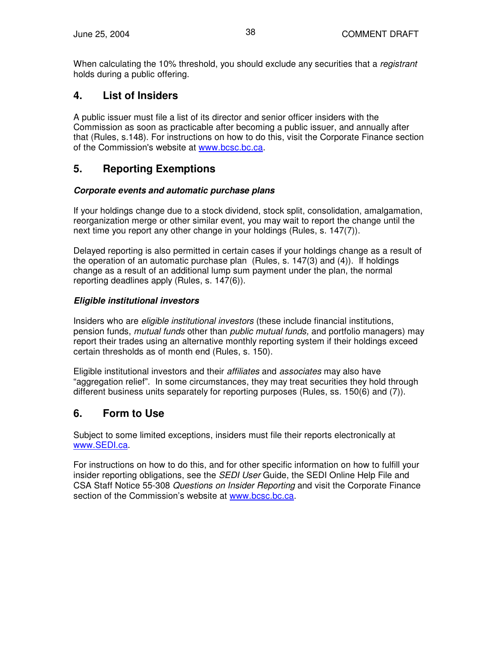When calculating the 10% threshold, you should exclude any securities that a *registrant* holds during a public offering.

## **4. List of Insiders**

A public issuer must file a list of its director and senior officer insiders with the Commission as soon as practicable after becoming a public issuer, and annually after that (Rules, s.148). For instructions on how to do this, visit the Corporate Finance section of the Commission's website at www.bcsc.bc.ca.

## **5. Reporting Exemptions**

#### *Corporate events and automatic purchase plans*

If your holdings change due to a stock dividend, stock split, consolidation, amalgamation, reorganization merge or other similar event, you may wait to report the change until the next time you report any other change in your holdings (Rules, s. 147(7)).

Delayed reporting is also permitted in certain cases if your holdings change as a result of the operation of an automatic purchase plan (Rules, s. 147(3) and (4)). If holdings change as a result of an additional lump sum payment under the plan, the normal reporting deadlines apply (Rules, s. 147(6)).

#### *Eligible institutional investors*

Insiders who are *eligible institutional investors* (these include financial institutions, pension funds, *mutual funds* other than *public mutual funds,* and portfolio managers) may report their trades using an alternative monthly reporting system if their holdings exceed certain thresholds as of month end (Rules, s. 150).

Eligible institutional investors and their *affiliates* and *associates* may also have "aggregation relief". In some circumstances, they may treat securities they hold through different business units separately for reporting purposes (Rules, ss. 150(6) and (7)).

## **6. Form to Use**

Subject to some limited exceptions, insiders must file their reports electronically at www.SEDI.ca.

For instructions on how to do this, and for other specific information on how to fulfill your insider reporting obligations, see the *SEDI User* Guide, the SEDI Online Help File and CSA Staff Notice 55-308 *Questions on Insider Reporting* and visit the Corporate Finance section of the Commission's website at www.bcsc.bc.ca.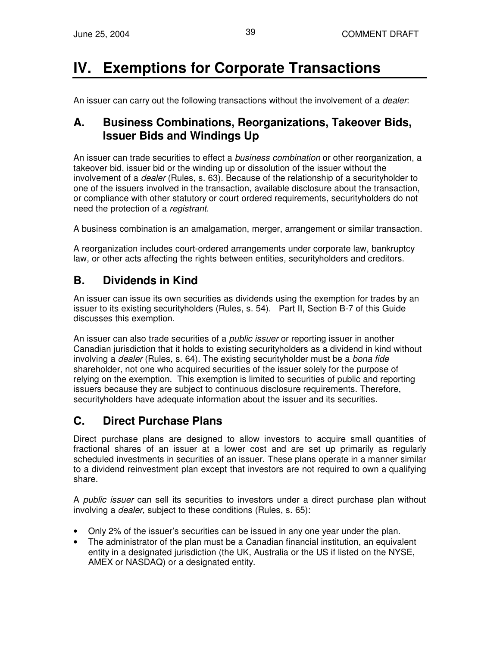# **IV. Exemptions for Corporate Transactions**

An issuer can carry out the following transactions without the involvement of a *dealer*:

## **A. Business Combinations, Reorganizations, Takeover Bids, Issuer Bids and Windings Up**

An issuer can trade securities to effect a *business combination* or other reorganization, a takeover bid, issuer bid or the winding up or dissolution of the issuer without the involvement of a *dealer* (Rules, s. 63). Because of the relationship of a securityholder to one of the issuers involved in the transaction, available disclosure about the transaction, or compliance with other statutory or court ordered requirements, securityholders do not need the protection of a *registrant*.

A business combination is an amalgamation, merger, arrangement or similar transaction.

A reorganization includes court-ordered arrangements under corporate law, bankruptcy law, or other acts affecting the rights between entities, securityholders and creditors.

## **B. Dividends in Kind**

An issuer can issue its own securities as dividends using the exemption for trades by an issuer to its existing securityholders (Rules, s. 54). Part II, Section B-7 of this Guide discusses this exemption.

An issuer can also trade securities of a *public issuer* or reporting issuer in another Canadian jurisdiction that it holds to existing securityholders as a dividend in kind without involving a *dealer* (Rules, s. 64). The existing securityholder must be a *bona fide* shareholder, not one who acquired securities of the issuer solely for the purpose of relying on the exemption. This exemption is limited to securities of public and reporting issuers because they are subject to continuous disclosure requirements. Therefore, securityholders have adequate information about the issuer and its securities.

## **C. Direct Purchase Plans**

Direct purchase plans are designed to allow investors to acquire small quantities of fractional shares of an issuer at a lower cost and are set up primarily as regularly scheduled investments in securities of an issuer. These plans operate in a manner similar to a dividend reinvestment plan except that investors are not required to own a qualifying share.

A *public issuer* can sell its securities to investors under a direct purchase plan without involving a *dealer*, subject to these conditions (Rules, s. 65):

- Only 2% of the issuer's securities can be issued in any one year under the plan.
- The administrator of the plan must be a Canadian financial institution, an equivalent entity in a designated jurisdiction (the UK, Australia or the US if listed on the NYSE, AMEX or NASDAQ) or a designated entity.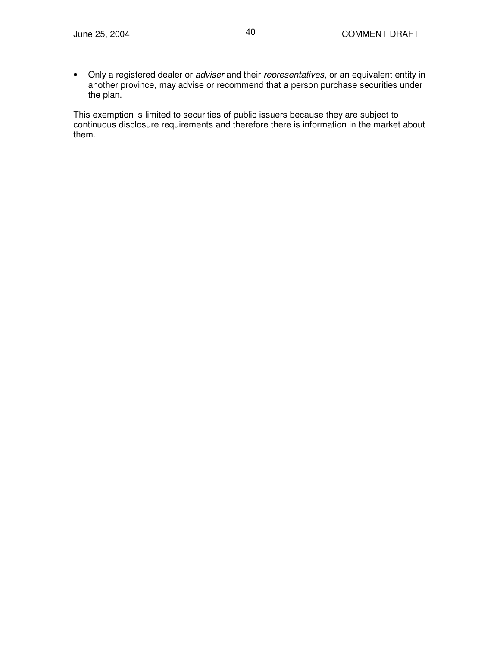• Only a registered dealer or *adviser* and their *representatives*, or an equivalent entity in another province, may advise or recommend that a person purchase securities under the plan.

This exemption is limited to securities of public issuers because they are subject to continuous disclosure requirements and therefore there is information in the market about them.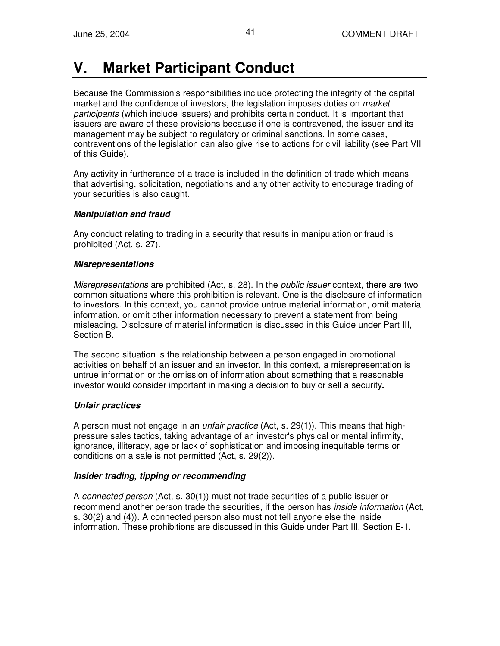# **V. Market Participant Conduct**

Because the Commission's responsibilities include protecting the integrity of the capital market and the confidence of investors, the legislation imposes duties on *market participants* (which include issuers) and prohibits certain conduct. It is important that issuers are aware of these provisions because if one is contravened, the issuer and its management may be subject to regulatory or criminal sanctions. In some cases, contraventions of the legislation can also give rise to actions for civil liability (see Part VII of this Guide).

Any activity in furtherance of a trade is included in the definition of trade which means that advertising, solicitation, negotiations and any other activity to encourage trading of your securities is also caught.

#### *Manipulation and fraud*

Any conduct relating to trading in a security that results in manipulation or fraud is prohibited (Act, s. 27).

#### *Misrepresentations*

*Misrepresentations* are prohibited (Act, s. 28). In the *public issuer* context, there are two common situations where this prohibition is relevant. One is the disclosure of information to investors. In this context, you cannot provide untrue material information, omit material information, or omit other information necessary to prevent a statement from being misleading. Disclosure of material information is discussed in this Guide under Part III, Section B.

The second situation is the relationship between a person engaged in promotional activities on behalf of an issuer and an investor. In this context, a misrepresentation is untrue information or the omission of information about something that a reasonable investor would consider important in making a decision to buy or sell a security**.**

#### *Unfair practices*

A person must not engage in an *unfair practice* (Act, s. 29(1)). This means that highpressure sales tactics, taking advantage of an investor's physical or mental infirmity, ignorance, illiteracy, age or lack of sophistication and imposing inequitable terms or conditions on a sale is not permitted (Act, s. 29(2)).

#### *Insider trading, tipping or recommending*

A *connected person* (Act, s. 30(1)) must not trade securities of a public issuer or recommend another person trade the securities, if the person has *inside information* (Act, s. 30(2) and (4)). A connected person also must not tell anyone else the inside information. These prohibitions are discussed in this Guide under Part III, Section E-1.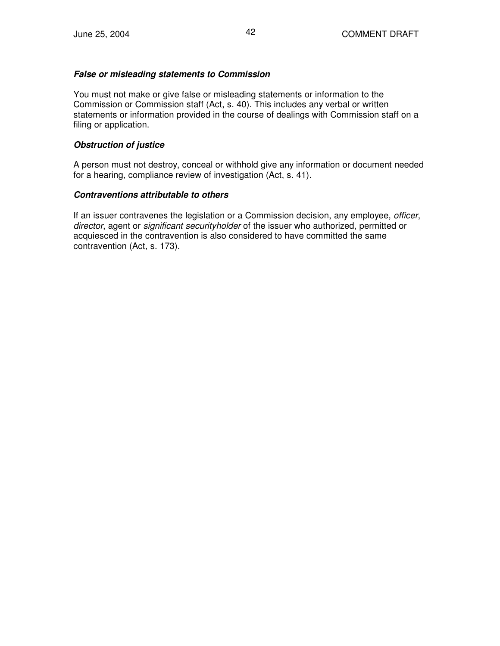#### *False or misleading statements to Commission*

You must not make or give false or misleading statements or information to the Commission or Commission staff (Act, s. 40). This includes any verbal or written statements or information provided in the course of dealings with Commission staff on a filing or application.

#### *Obstruction of justice*

A person must not destroy, conceal or withhold give any information or document needed for a hearing, compliance review of investigation (Act, s. 41).

#### *Contraventions attributable to others*

If an issuer contravenes the legislation or a Commission decision, any employee, *officer*, *director*, agent or *significant securityholder* of the issuer who authorized, permitted or acquiesced in the contravention is also considered to have committed the same contravention (Act, s. 173).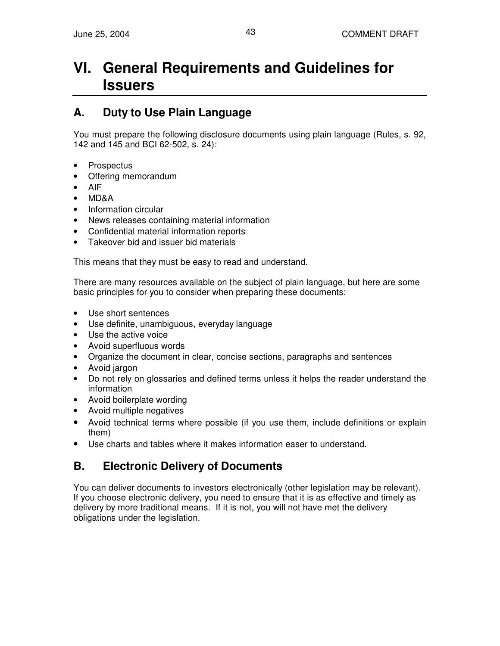# **VI. General Requirements and Guidelines for Issuers**

## **A. Duty to Use Plain Language**

You must prepare the following disclosure documents using plain language (Rules, s. 92, 142 and 145 and BCI 62-502, s. 24):

- **Prospectus**
- Offering memorandum
- AIF
- MD&A
- Information circular
- News releases containing material information
- Confidential material information reports
- Takeover bid and issuer bid materials

This means that they must be easy to read and understand.

There are many resources available on the subject of plain language, but here are some basic principles for you to consider when preparing these documents:

- Use short sentences
- Use definite, unambiguous, everyday language
- Use the active voice
- Avoid superfluous words
- Organize the document in clear, concise sections, paragraphs and sentences
- Avoid jargon
- Do not rely on glossaries and defined terms unless it helps the reader understand the information
- Avoid boilerplate wording
- Avoid multiple negatives
- Avoid technical terms where possible (if you use them, include definitions or explain them)
- Use charts and tables where it makes information easer to understand.

## **B. Electronic Delivery of Documents**

You can deliver documents to investors electronically (other legislation may be relevant). If you choose electronic delivery, you need to ensure that it is as effective and timely as delivery by more traditional means. If it is not, you will not have met the delivery obligations under the legislation.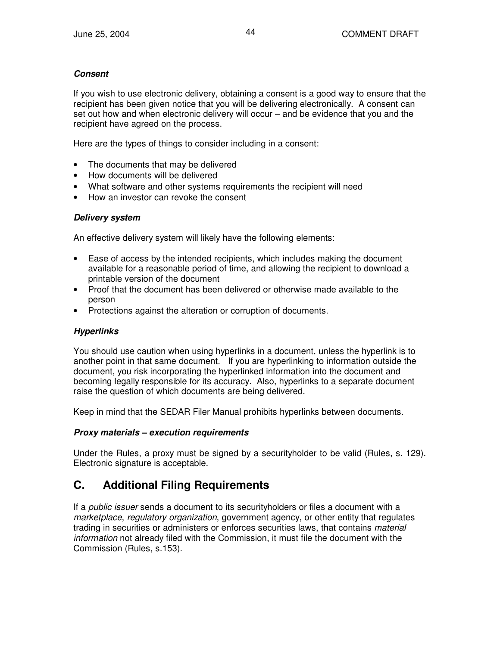#### *Consent*

If you wish to use electronic delivery, obtaining a consent is a good way to ensure that the recipient has been given notice that you will be delivering electronically. A consent can set out how and when electronic delivery will occur – and be evidence that you and the recipient have agreed on the process.

Here are the types of things to consider including in a consent:

- The documents that may be delivered
- How documents will be delivered
- What software and other systems requirements the recipient will need
- How an investor can revoke the consent

#### *Delivery system*

An effective delivery system will likely have the following elements:

- Ease of access by the intended recipients, which includes making the document available for a reasonable period of time, and allowing the recipient to download a printable version of the document
- Proof that the document has been delivered or otherwise made available to the person
- Protections against the alteration or corruption of documents.

#### *Hyperlinks*

You should use caution when using hyperlinks in a document, unless the hyperlink is to another point in that same document. If you are hyperlinking to information outside the document, you risk incorporating the hyperlinked information into the document and becoming legally responsible for its accuracy. Also, hyperlinks to a separate document raise the question of which documents are being delivered.

Keep in mind that the SEDAR Filer Manual prohibits hyperlinks between documents.

#### *Proxy materials – execution requirements*

Under the Rules, a proxy must be signed by a securityholder to be valid (Rules, s. 129). Electronic signature is acceptable.

## **C. Additional Filing Requirements**

If a *public issuer* sends a document to its securityholders or files a document with a *marketplace*, *regulatory organization*, government agency, or other entity that regulates trading in securities or administers or enforces securities laws, that contains *material information* not already filed with the Commission, it must file the document with the Commission (Rules, s.153).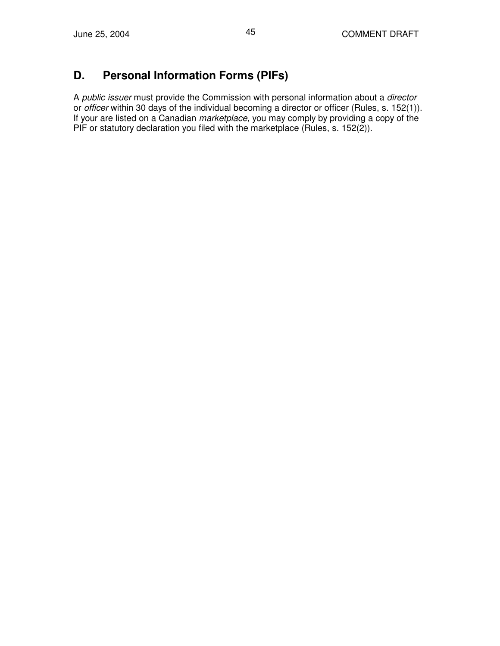## **D. Personal Information Forms (PIFs)**

A *public issuer* must provide the Commission with personal information about a *director* or *officer* within 30 days of the individual becoming a director or officer (Rules, s. 152(1)). If your are listed on a Canadian *marketplace*, you may comply by providing a copy of the PIF or statutory declaration you filed with the marketplace (Rules, s. 152(2)).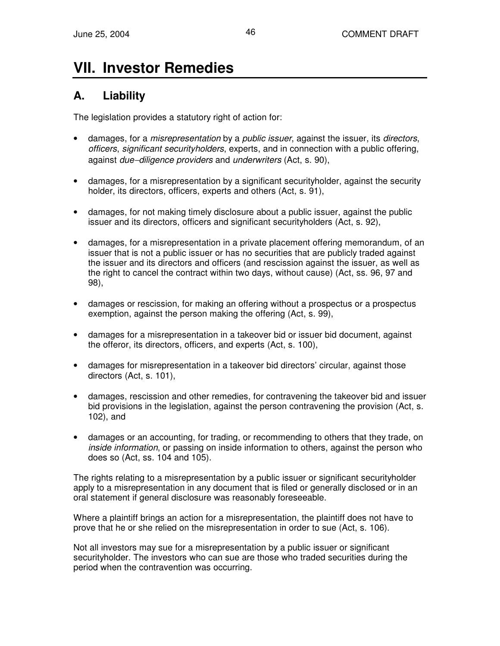# **VII. Investor Remedies**

## **A. Liability**

The legislation provides a statutory right of action for:

- damages, for a *misrepresentation* by a *public issuer*, against the issuer, its *directors*, *officers*, *significant securityholders*, experts, and in connection with a public offering, against *due*−*diligence providers* and *underwriters* (Act, s. 90),
- damages, for a misrepresentation by a significant securityholder, against the security holder, its directors, officers, experts and others (Act, s. 91),
- damages, for not making timely disclosure about a public issuer, against the public issuer and its directors, officers and significant securityholders (Act, s. 92),
- damages, for a misrepresentation in a private placement offering memorandum, of an issuer that is not a public issuer or has no securities that are publicly traded against the issuer and its directors and officers (and rescission against the issuer, as well as the right to cancel the contract within two days, without cause) (Act, ss. 96, 97 and 98),
- damages or rescission, for making an offering without a prospectus or a prospectus exemption, against the person making the offering (Act, s. 99),
- damages for a misrepresentation in a takeover bid or issuer bid document, against the offeror, its directors, officers, and experts (Act, s. 100),
- damages for misrepresentation in a takeover bid directors' circular, against those directors (Act, s. 101),
- damages, rescission and other remedies, for contravening the takeover bid and issuer bid provisions in the legislation, against the person contravening the provision (Act, s. 102), and
- damages or an accounting, for trading, or recommending to others that they trade, on *inside information*, or passing on inside information to others, against the person who does so (Act, ss. 104 and 105).

The rights relating to a misrepresentation by a public issuer or significant securityholder apply to a misrepresentation in any document that is filed or generally disclosed or in an oral statement if general disclosure was reasonably foreseeable.

Where a plaintiff brings an action for a misrepresentation, the plaintiff does not have to prove that he or she relied on the misrepresentation in order to sue (Act, s. 106).

Not all investors may sue for a misrepresentation by a public issuer or significant securityholder. The investors who can sue are those who traded securities during the period when the contravention was occurring.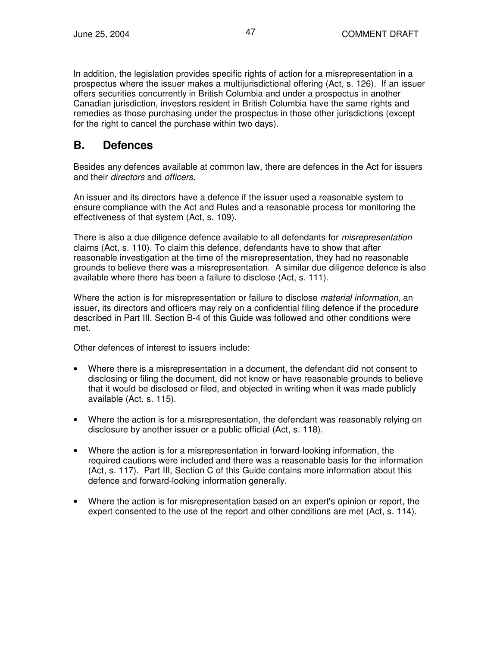In addition, the legislation provides specific rights of action for a misrepresentation in a prospectus where the issuer makes a multijurisdictional offering (Act, s. 126). If an issuer offers securities concurrently in British Columbia and under a prospectus in another Canadian jurisdiction, investors resident in British Columbia have the same rights and remedies as those purchasing under the prospectus in those other jurisdictions (except for the right to cancel the purchase within two days).

## **B. Defences**

Besides any defences available at common law, there are defences in the Act for issuers and their *directors* and *officers*.

An issuer and its directors have a defence if the issuer used a reasonable system to ensure compliance with the Act and Rules and a reasonable process for monitoring the effectiveness of that system (Act, s. 109).

There is also a due diligence defence available to all defendants for *misrepresentation* claims (Act, s. 110). To claim this defence, defendants have to show that after reasonable investigation at the time of the misrepresentation, they had no reasonable grounds to believe there was a misrepresentation. A similar due diligence defence is also available where there has been a failure to disclose (Act, s. 111).

Where the action is for misrepresentation or failure to disclose *material information*, an issuer, its directors and officers may rely on a confidential filing defence if the procedure described in Part III, Section B-4 of this Guide was followed and other conditions were met.

Other defences of interest to issuers include:

- Where there is a misrepresentation in a document, the defendant did not consent to disclosing or filing the document, did not know or have reasonable grounds to believe that it would be disclosed or filed, and objected in writing when it was made publicly available (Act, s. 115).
- Where the action is for a misrepresentation, the defendant was reasonably relying on disclosure by another issuer or a public official (Act, s. 118).
- Where the action is for a misrepresentation in forward-looking information, the required cautions were included and there was a reasonable basis for the information (Act, s. 117). Part III, Section C of this Guide contains more information about this defence and forward-looking information generally.
- Where the action is for misrepresentation based on an expert's opinion or report, the expert consented to the use of the report and other conditions are met (Act, s. 114).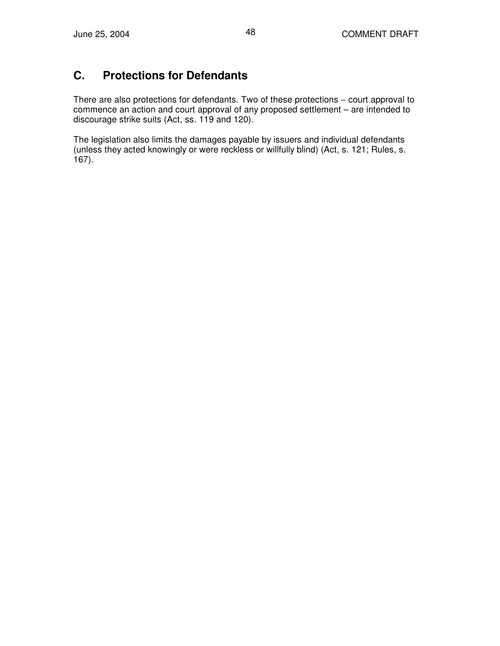## **C. Protections for Defendants**

There are also protections for defendants. Two of these protections – court approval to commence an action and court approval of any proposed settlement – are intended to discourage strike suits (Act, ss. 119 and 120).

The legislation also limits the damages payable by issuers and individual defendants (unless they acted knowingly or were reckless or willfully blind) (Act, s. 121; Rules, s. 167).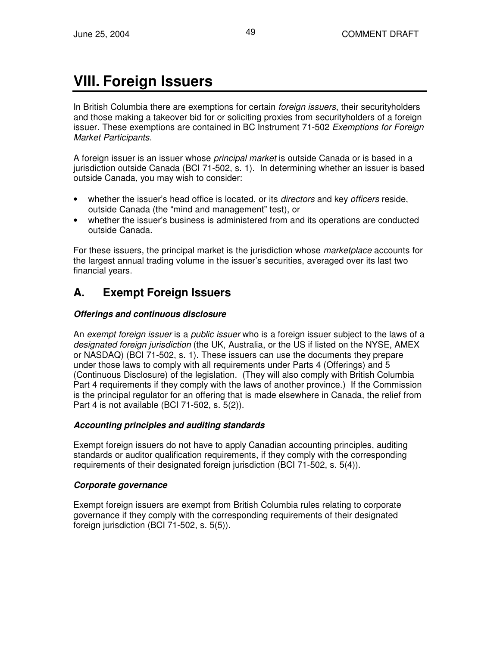# **VIII. Foreign Issuers**

In British Columbia there are exemptions for certain *foreign issuers*, their securityholders and those making a takeover bid for or soliciting proxies from securityholders of a foreign issuer. These exemptions are contained in BC Instrument 71-502 *Exemptions for Foreign Market Participants*.

A foreign issuer is an issuer whose *principal market* is outside Canada or is based in a jurisdiction outside Canada (BCI 71-502, s. 1). In determining whether an issuer is based outside Canada, you may wish to consider:

- whether the issuer's head office is located, or its *directors* and key *officers* reside, outside Canada (the "mind and management" test), or
- whether the issuer's business is administered from and its operations are conducted outside Canada.

For these issuers, the principal market is the jurisdiction whose *marketplace* accounts for the largest annual trading volume in the issuer's securities, averaged over its last two financial years.

## **A. Exempt Foreign Issuers**

#### *Offerings and continuous disclosure*

An *exempt foreign issuer* is a *public issuer* who is a foreign issuer subject to the laws of a *designated foreign jurisdiction* (the UK, Australia, or the US if listed on the NYSE, AMEX or NASDAQ) (BCI 71-502, s. 1). These issuers can use the documents they prepare under those laws to comply with all requirements under Parts 4 (Offerings) and 5 (Continuous Disclosure) of the legislation. (They will also comply with British Columbia Part 4 requirements if they comply with the laws of another province.) If the Commission is the principal regulator for an offering that is made elsewhere in Canada, the relief from Part 4 is not available (BCI 71-502, s. 5(2)).

#### *Accounting principles and auditing standards*

Exempt foreign issuers do not have to apply Canadian accounting principles, auditing standards or auditor qualification requirements, if they comply with the corresponding requirements of their designated foreign jurisdiction (BCI 71-502, s. 5(4)).

#### *Corporate governance*

Exempt foreign issuers are exempt from British Columbia rules relating to corporate governance if they comply with the corresponding requirements of their designated foreign jurisdiction (BCI 71-502, s. 5(5)).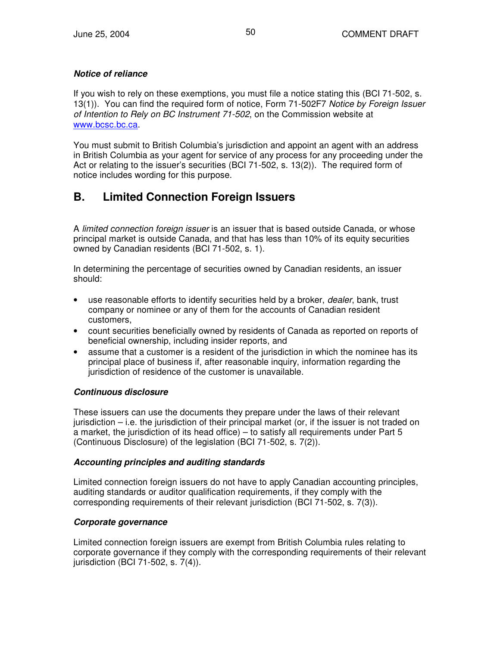#### *Notice of reliance*

If you wish to rely on these exemptions, you must file a notice stating this (BCI 71-502, s. 13(1)). You can find the required form of notice, Form 71-502F7 *Notice by Foreign Issuer of Intention to Rely on BC Instrument 71-502*, on the Commission website at www.bcsc.bc.ca.

You must submit to British Columbia's jurisdiction and appoint an agent with an address in British Columbia as your agent for service of any process for any proceeding under the Act or relating to the issuer's securities (BCI 71-502, s. 13(2)). The required form of notice includes wording for this purpose.

## **B. Limited Connection Foreign Issuers**

A *limited connection foreign issuer* is an issuer that is based outside Canada, or whose principal market is outside Canada, and that has less than 10% of its equity securities owned by Canadian residents (BCI 71-502, s. 1).

In determining the percentage of securities owned by Canadian residents, an issuer should:

- use reasonable efforts to identify securities held by a broker, *dealer*, bank, trust company or nominee or any of them for the accounts of Canadian resident customers,
- count securities beneficially owned by residents of Canada as reported on reports of beneficial ownership, including insider reports, and
- assume that a customer is a resident of the jurisdiction in which the nominee has its principal place of business if, after reasonable inquiry, information regarding the jurisdiction of residence of the customer is unavailable.

#### *Continuous disclosure*

These issuers can use the documents they prepare under the laws of their relevant jurisdiction – i.e. the jurisdiction of their principal market (or, if the issuer is not traded on a market, the jurisdiction of its head office) – to satisfy all requirements under Part 5 (Continuous Disclosure) of the legislation (BCI 71-502, s. 7(2)).

#### *Accounting principles and auditing standards*

Limited connection foreign issuers do not have to apply Canadian accounting principles, auditing standards or auditor qualification requirements, if they comply with the corresponding requirements of their relevant jurisdiction (BCI 71-502, s. 7(3)).

#### *Corporate governance*

Limited connection foreign issuers are exempt from British Columbia rules relating to corporate governance if they comply with the corresponding requirements of their relevant jurisdiction (BCI 71-502, s. 7(4)).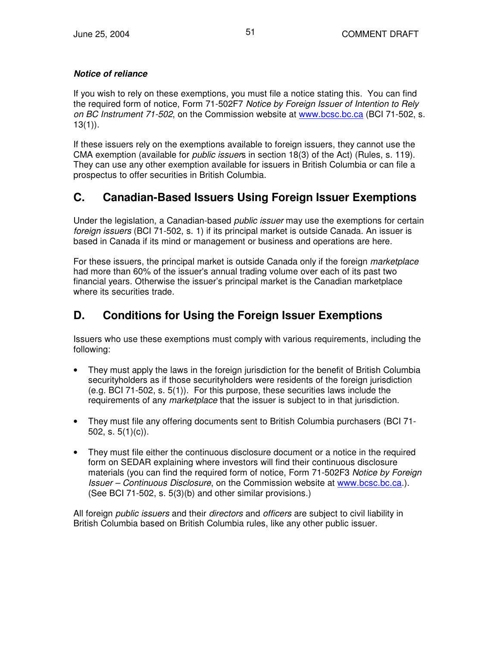#### *Notice of reliance*

If you wish to rely on these exemptions, you must file a notice stating this. You can find the required form of notice, Form 71-502F7 *Notice by Foreign Issuer of Intention to Rely on BC Instrument 71-502*, on the Commission website at www.bcsc.bc.ca (BCI 71-502, s.  $13(1)$ ).

If these issuers rely on the exemptions available to foreign issuers, they cannot use the CMA exemption (available for *public issuer*s in section 18(3) of the Act) (Rules, s. 119). They can use any other exemption available for issuers in British Columbia or can file a prospectus to offer securities in British Columbia.

## **C. Canadian-Based Issuers Using Foreign Issuer Exemptions**

Under the legislation, a Canadian-based *public issuer* may use the exemptions for certain *foreign issuers* (BCI 71-502, s. 1) if its principal market is outside Canada. An issuer is based in Canada if its mind or management or business and operations are here.

For these issuers, the principal market is outside Canada only if the foreign *marketplace* had more than 60% of the issuer's annual trading volume over each of its past two financial years. Otherwise the issuer's principal market is the Canadian marketplace where its securities trade.

## **D. Conditions for Using the Foreign Issuer Exemptions**

Issuers who use these exemptions must comply with various requirements, including the following:

- They must apply the laws in the foreign jurisdiction for the benefit of British Columbia securityholders as if those securityholders were residents of the foreign jurisdiction (e.g. BCI 71-502, s. 5(1)). For this purpose, these securities laws include the requirements of any *marketplace* that the issuer is subject to in that jurisdiction.
- They must file any offering documents sent to British Columbia purchasers (BCI 71- 502, s.  $5(1)(c)$ ).
- They must file either the continuous disclosure document or a notice in the required form on SEDAR explaining where investors will find their continuous disclosure materials (you can find the required form of notice, Form 71-502F3 *Notice by Foreign Issuer – Continuous Disclosure*, on the Commission website at www.bcsc.bc.ca.). (See BCI 71-502, s. 5(3)(b) and other similar provisions.)

All foreign *public issuers* and their *directors* and *officers* are subject to civil liability in British Columbia based on British Columbia rules, like any other public issuer.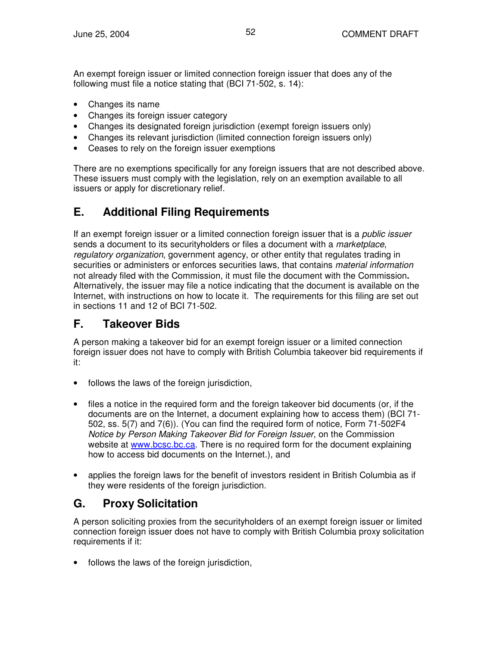An exempt foreign issuer or limited connection foreign issuer that does any of the following must file a notice stating that (BCI 71-502, s. 14):

- Changes its name
- Changes its foreign issuer category
- Changes its designated foreign jurisdiction (exempt foreign issuers only)
- Changes its relevant jurisdiction (limited connection foreign issuers only)
- Ceases to rely on the foreign issuer exemptions

There are no exemptions specifically for any foreign issuers that are not described above. These issuers must comply with the legislation, rely on an exemption available to all issuers or apply for discretionary relief.

## **E. Additional Filing Requirements**

If an exempt foreign issuer or a limited connection foreign issuer that is a *public issuer* sends a document to its securityholders or files a document with a *marketplace*, *regulatory organization*, government agency, or other entity that regulates trading in securities or administers or enforces securities laws, that contains *material information* not already filed with the Commission, it must file the document with the Commission**.** Alternatively, the issuer may file a notice indicating that the document is available on the Internet, with instructions on how to locate it. The requirements for this filing are set out in sections 11 and 12 of BCI 71-502.

## **F. Takeover Bids**

A person making a takeover bid for an exempt foreign issuer or a limited connection foreign issuer does not have to comply with British Columbia takeover bid requirements if it:

- follows the laws of the foreign jurisdiction,
- files a notice in the required form and the foreign takeover bid documents (or, if the documents are on the Internet, a document explaining how to access them) (BCI 71- 502, ss. 5(7) and 7(6)). (You can find the required form of notice, Form 71-502F4 *Notice by Person Making Takeover Bid for Foreign Issuer*, on the Commission website at www.bcsc.bc.ca. There is no required form for the document explaining how to access bid documents on the Internet.), and
- applies the foreign laws for the benefit of investors resident in British Columbia as if they were residents of the foreign jurisdiction.

## **G. Proxy Solicitation**

A person soliciting proxies from the securityholders of an exempt foreign issuer or limited connection foreign issuer does not have to comply with British Columbia proxy solicitation requirements if it:

• follows the laws of the foreign jurisdiction,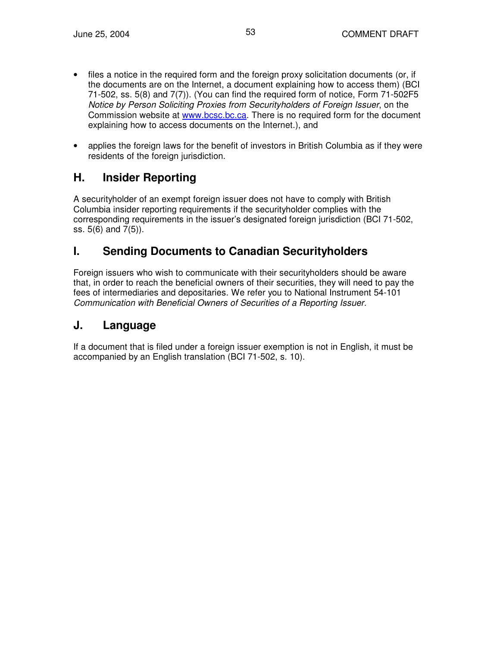- files a notice in the required form and the foreign proxy solicitation documents (or, if the documents are on the Internet, a document explaining how to access them) (BCI 71-502, ss. 5(8) and 7(7)). (You can find the required form of notice, Form 71-502F5 *Notice by Person Soliciting Proxies from Securityholders of Foreign Issuer*, on the Commission website at www.bcsc.bc.ca. There is no required form for the document explaining how to access documents on the Internet.), and
- applies the foreign laws for the benefit of investors in British Columbia as if they were residents of the foreign jurisdiction.

## **H. Insider Reporting**

A securityholder of an exempt foreign issuer does not have to comply with British Columbia insider reporting requirements if the securityholder complies with the corresponding requirements in the issuer's designated foreign jurisdiction (BCI 71-502, ss. 5(6) and 7(5)).

## **I. Sending Documents to Canadian Securityholders**

Foreign issuers who wish to communicate with their securityholders should be aware that, in order to reach the beneficial owners of their securities, they will need to pay the fees of intermediaries and depositaries. We refer you to National Instrument 54-101 *Communication with Beneficial Owners of Securities of a Reporting Issuer.*

## **J. Language**

If a document that is filed under a foreign issuer exemption is not in English, it must be accompanied by an English translation (BCI 71-502, s. 10).